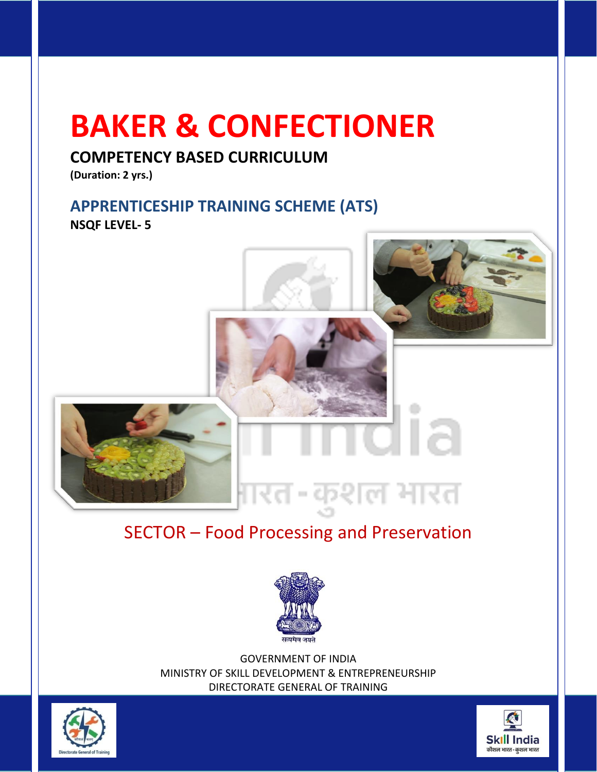# **BAKER & CONFECTIONER**

# **COMPETENCY BASED CURRICULUM**

**(Duration: 2 yrs.)** 

## **APPRENTICESHIP TRAINING SCHEME (ATS) NSQF LEVEL- 5**



# SECTOR – Food Processing and Preservation



GOVERNMENT OF INDIA MINISTRY OF SKILL DEVELOPMENT & ENTREPRENEURSHIP DIRECTORATE GENERAL OF TRAINING



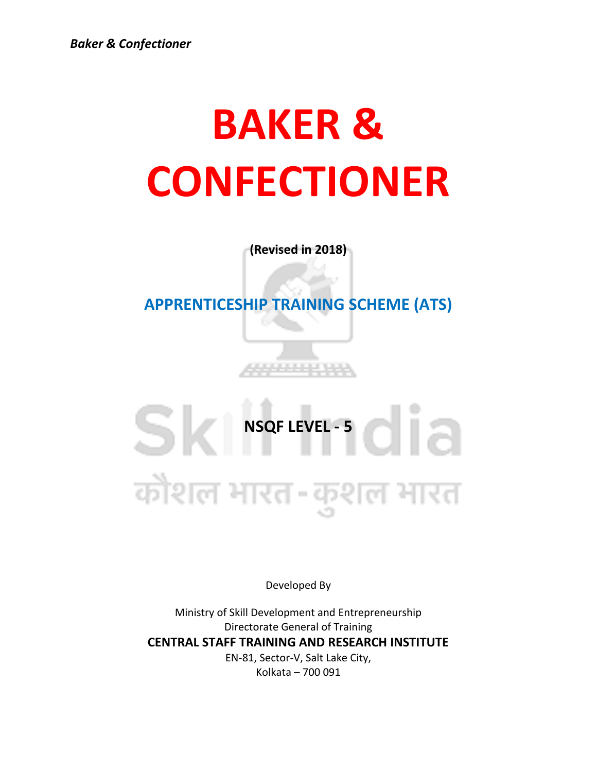# **BAKER & CONFECTIONER**

**(Revised in 2018)**

**APPRENTICESHIP TRAINING SCHEME (ATS)**

SK NSQF LEVEL -5 कोशल भारत-कुशल भारत

Developed By

Ministry of Skill Development and Entrepreneurship Directorate General of Training **CENTRAL STAFF TRAINING AND RESEARCH INSTITUTE** EN-81, Sector-V, Salt Lake City, Kolkata – 700 091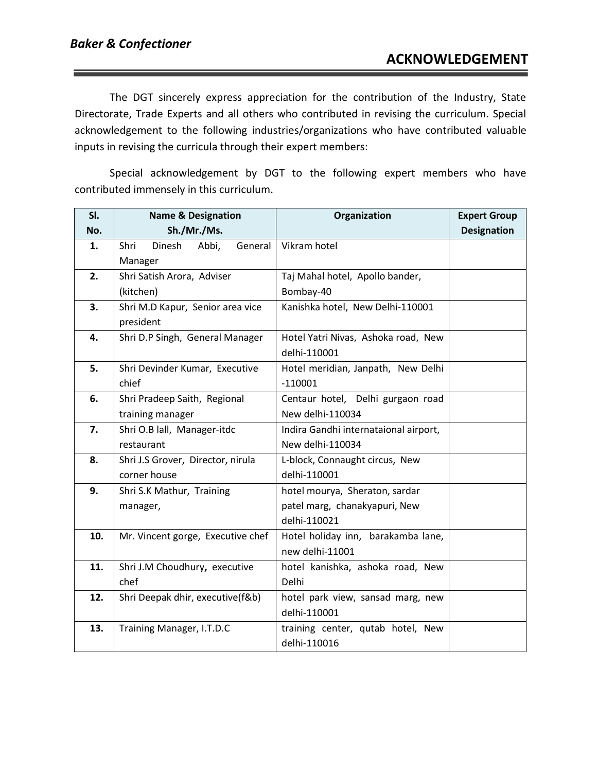The DGT sincerely express appreciation for the contribution of the Industry, State Directorate, Trade Experts and all others who contributed in revising the curriculum. Special acknowledgement to the following industries/organizations who have contributed valuable inputs in revising the curricula through their expert members:

Special acknowledgement by DGT to the following expert members who have contributed immensely in this curriculum.

| SI. | <b>Name &amp; Designation</b>      | Organization                          | <b>Expert Group</b> |
|-----|------------------------------------|---------------------------------------|---------------------|
| No. | Sh./Mr./Ms.                        |                                       | <b>Designation</b>  |
| 1.  | Abbi,<br>Shri<br>Dinesh<br>General | Vikram hotel                          |                     |
|     | Manager                            |                                       |                     |
| 2.  | Shri Satish Arora, Adviser         | Taj Mahal hotel, Apollo bander,       |                     |
|     | (kitchen)                          | Bombay-40                             |                     |
| 3.  | Shri M.D Kapur, Senior area vice   | Kanishka hotel, New Delhi-110001      |                     |
|     | president                          |                                       |                     |
| 4.  | Shri D.P Singh, General Manager    | Hotel Yatri Nivas, Ashoka road, New   |                     |
|     |                                    | delhi-110001                          |                     |
| 5.  | Shri Devinder Kumar, Executive     | Hotel meridian, Janpath, New Delhi    |                     |
|     | chief                              | $-110001$                             |                     |
| 6.  | Shri Pradeep Saith, Regional       | Centaur hotel, Delhi gurgaon road     |                     |
|     | training manager                   | New delhi-110034                      |                     |
| 7.  | Shri O.B lall, Manager-itdc        | Indira Gandhi internataional airport, |                     |
|     | restaurant                         | New delhi-110034                      |                     |
| 8.  | Shri J.S Grover, Director, nirula  | L-block, Connaught circus, New        |                     |
|     | corner house                       | delhi-110001                          |                     |
| 9.  | Shri S.K Mathur, Training          | hotel mourya, Sheraton, sardar        |                     |
|     | manager,                           | patel marg, chanakyapuri, New         |                     |
|     |                                    | delhi-110021                          |                     |
| 10. | Mr. Vincent gorge, Executive chef  | Hotel holiday inn, barakamba lane,    |                     |
|     |                                    | new delhi-11001                       |                     |
| 11. | Shri J.M Choudhury, executive      | hotel kanishka, ashoka road, New      |                     |
|     | chef                               | Delhi                                 |                     |
| 12. | Shri Deepak dhir, executive(f&b)   | hotel park view, sansad marg, new     |                     |
|     |                                    | delhi-110001                          |                     |
| 13. | Training Manager, I.T.D.C          | training center, qutab hotel, New     |                     |
|     |                                    | delhi-110016                          |                     |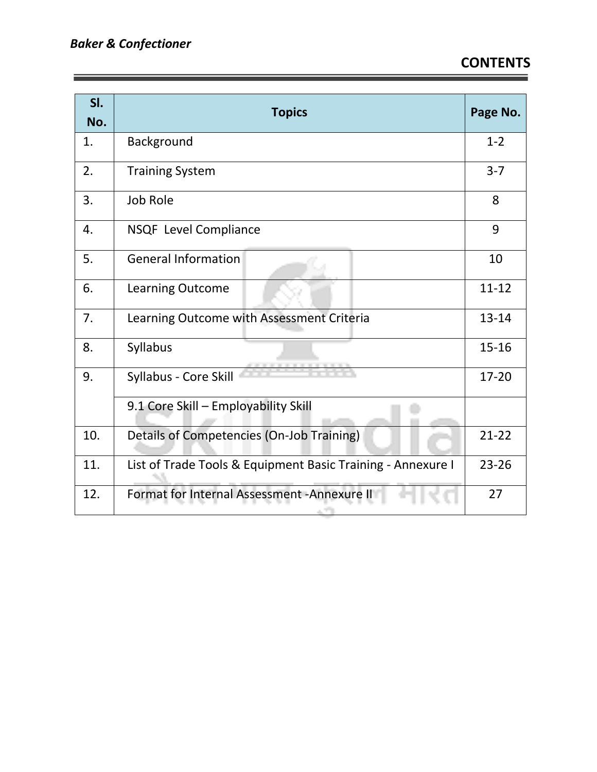| SI.<br>No. | <b>Topics</b>                                               | Page No.  |
|------------|-------------------------------------------------------------|-----------|
| 1.         | Background                                                  | $1 - 2$   |
| 2.         | <b>Training System</b>                                      | $3 - 7$   |
| 3.         | Job Role                                                    | 8         |
| 4.         | NSQF Level Compliance                                       | 9         |
| 5.         | <b>General Information</b>                                  | 10        |
| 6.         | Learning Outcome                                            | $11 - 12$ |
| 7.         | Learning Outcome with Assessment Criteria                   | 13-14     |
| 8.         | Syllabus                                                    | $15 - 16$ |
| 9.         | Syllabus - Core Skill                                       | 17-20     |
|            | 9.1 Core Skill - Employability Skill                        |           |
| 10.        | Details of Competencies (On-Job Training)                   | $21 - 22$ |
| 11.        | List of Trade Tools & Equipment Basic Training - Annexure I | $23 - 26$ |
| 12.        | Format for Internal Assessment - Annexure II<br>ALC: UNK    | 27        |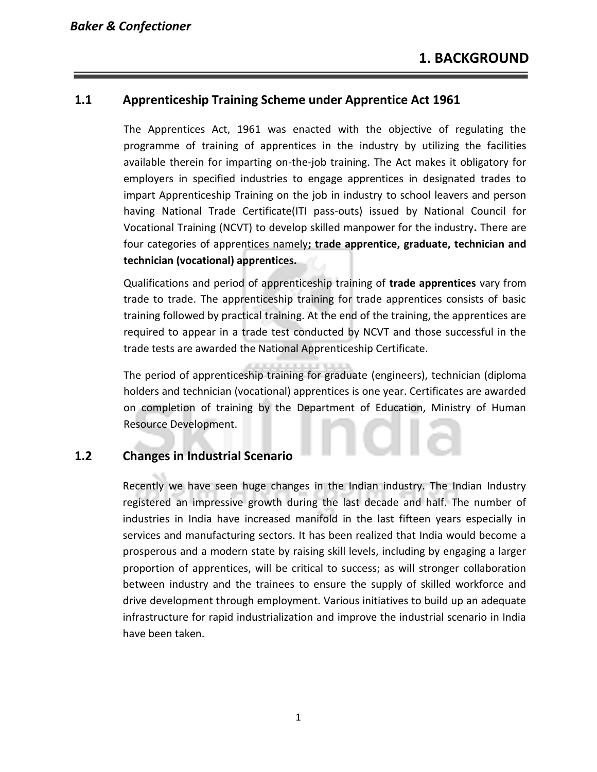#### **1.1 Apprenticeship Training Scheme under Apprentice Act 1961**

The Apprentices Act, 1961 was enacted with the objective of regulating the programme of training of apprentices in the industry by utilizing the facilities available therein for imparting on-the-job training. The Act makes it obligatory for employers in specified industries to engage apprentices in designated trades to impart Apprenticeship Training on the job in industry to school leavers and person having National Trade Certificate(ITI pass-outs) issued by National Council for Vocational Training (NCVT) to develop skilled manpower for the industry**.** There are four categories of apprentices namely**; trade apprentice, graduate, technician and technician (vocational) apprentices.** 

Qualifications and period of apprenticeship training of **trade apprentices** vary from trade to trade. The apprenticeship training for trade apprentices consists of basic training followed by practical training. At the end of the training, the apprentices are required to appear in a trade test conducted by NCVT and those successful in the trade tests are awarded the National Apprenticeship Certificate.

The period of apprenticeship training for graduate (engineers), technician (diploma holders and technician (vocational) apprentices is one year. Certificates are awarded on completion of training by the Department of Education, Ministry of Human Resource Development.

#### **1.2 Changes in Industrial Scenario**

Recently we have seen huge changes in the Indian industry. The Indian Industry registered an impressive growth during the last decade and half. The number of industries in India have increased manifold in the last fifteen years especially in services and manufacturing sectors. It has been realized that India would become a prosperous and a modern state by raising skill levels, including by engaging a larger proportion of apprentices, will be critical to success; as will stronger collaboration between industry and the trainees to ensure the supply of skilled workforce and drive development through employment. Various initiatives to build up an adequate infrastructure for rapid industrialization and improve the industrial scenario in India have been taken.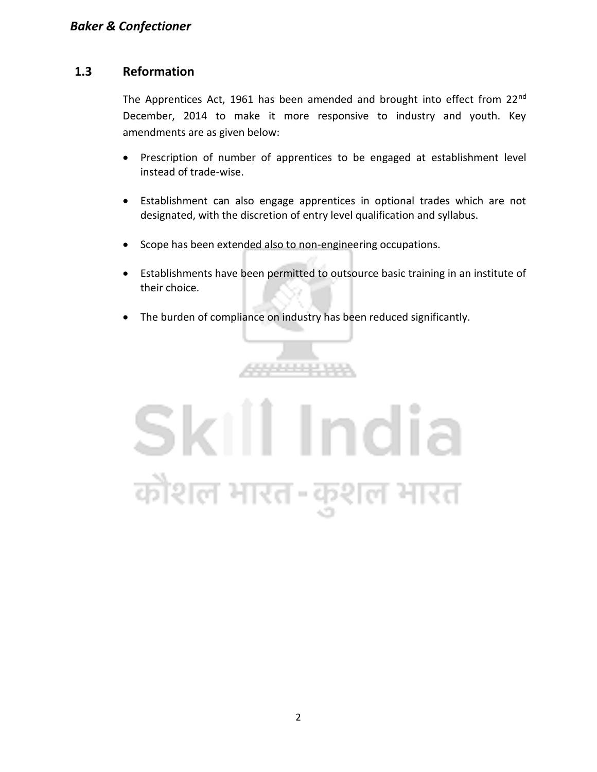#### **1.3 Reformation**

The Apprentices Act, 1961 has been amended and brought into effect from 22<sup>nd</sup> December, 2014 to make it more responsive to industry and youth. Key amendments are as given below:

- Prescription of number of apprentices to be engaged at establishment level instead of trade-wise.
- Establishment can also engage apprentices in optional trades which are not designated, with the discretion of entry level qualification and syllabus.
- Scope has been extended also to non-engineering occupations.
- Establishments have been permitted to outsource basic training in an institute of their choice.
- The burden of compliance on industry has been reduced significantly.

8888888

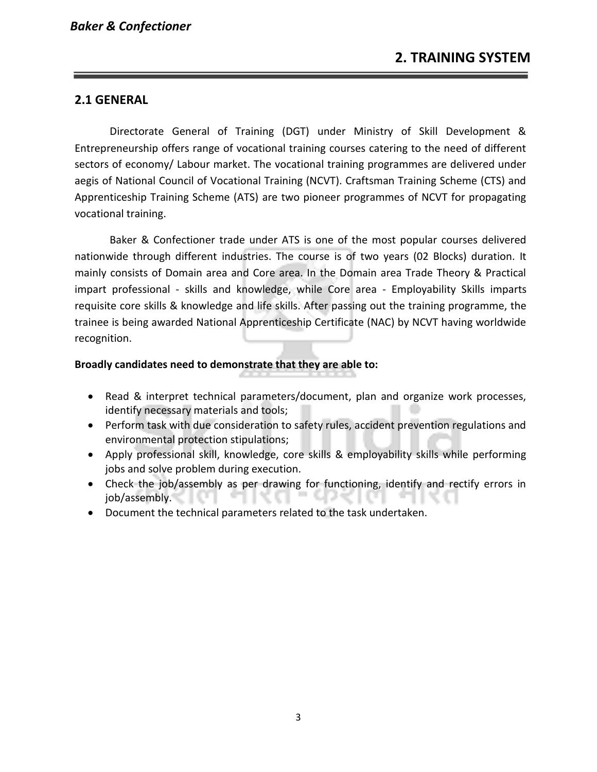#### **2.1 GENERAL**

Directorate General of Training (DGT) under Ministry of Skill Development & Entrepreneurship offers range of vocational training courses catering to the need of different sectors of economy/ Labour market. The vocational training programmes are delivered under aegis of National Council of Vocational Training (NCVT). Craftsman Training Scheme (CTS) and Apprenticeship Training Scheme (ATS) are two pioneer programmes of NCVT for propagating vocational training.

Baker & Confectioner trade under ATS is one of the most popular courses delivered nationwide through different industries. The course is of two years (02 Blocks) duration. It mainly consists of Domain area and Core area. In the Domain area Trade Theory & Practical impart professional - skills and knowledge, while Core area - Employability Skills imparts requisite core skills & knowledge and life skills. After passing out the training programme, the trainee is being awarded National Apprenticeship Certificate (NAC) by NCVT having worldwide recognition.

#### **Broadly candidates need to demonstrate that they are able to:**

- Read & interpret technical parameters/document, plan and organize work processes, identify necessary materials and tools;
- Perform task with due consideration to safety rules, accident prevention regulations and environmental protection stipulations;
- Apply professional skill, knowledge, core skills & employability skills while performing jobs and solve problem during execution.
- Check the job/assembly as per drawing for functioning, identify and rectify errors in job/assembly.
- Document the technical parameters related to the task undertaken.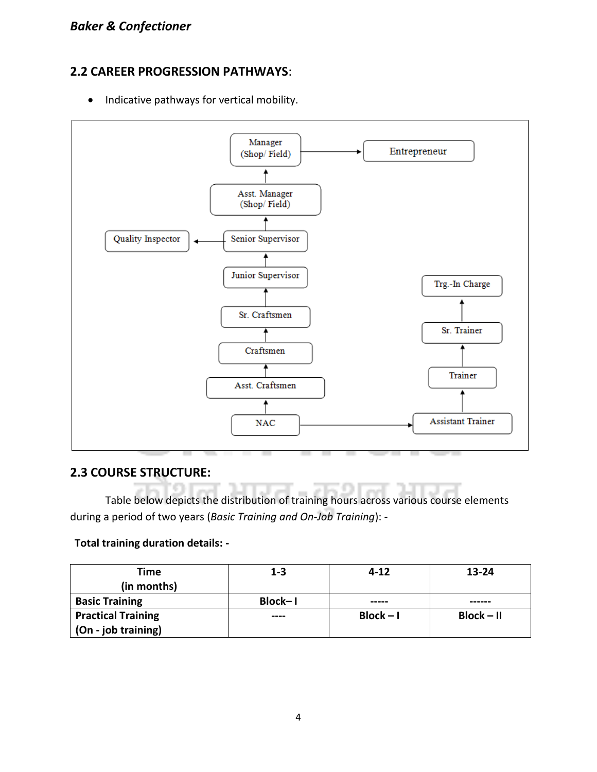#### **2.2 CAREER PROGRESSION PATHWAYS**:

• Indicative pathways for vertical mobility.



#### **2.3 COURSE STRUCTURE:**

Table below depicts the distribution of training hours across various course elements during a period of two years (*Basic Training and On-Job Training*): -

#### **Total training duration details: -**

| Time                      | $1 - 3$ | $4 - 12$    | $13 - 24$    |
|---------------------------|---------|-------------|--------------|
| (in months)               |         |             |              |
| <b>Basic Training</b>     | Block-I | -----       | ------       |
| <b>Practical Training</b> | ----    | $Block - I$ | $Block - II$ |
| (On - job training)       |         |             |              |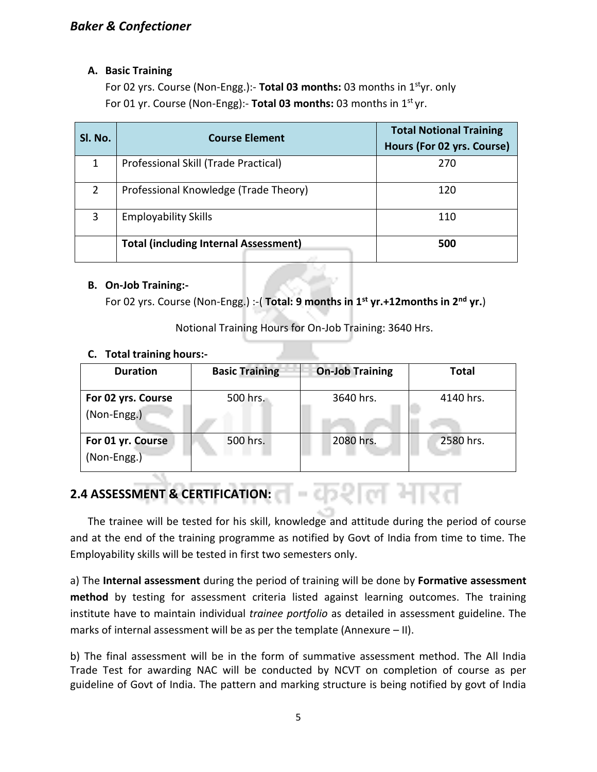#### **A. Basic Training**

For 02 yrs. Course (Non-Engg.):- **Total 03 months:** 03 months in 1styr. only For 01 yr. Course (Non-Engg):- **Total 03 months:** 03 months in 1st yr.

| Sl. No.        | <b>Course Element</b>                        | <b>Total Notional Training</b><br>Hours (For 02 yrs. Course) |
|----------------|----------------------------------------------|--------------------------------------------------------------|
| 1              | Professional Skill (Trade Practical)         | 270                                                          |
| $\overline{2}$ | Professional Knowledge (Trade Theory)        | 120                                                          |
| 3              | <b>Employability Skills</b>                  | 110                                                          |
|                | <b>Total (including Internal Assessment)</b> | 500                                                          |

#### **B. On-Job Training:-**

For 02 yrs. Course (Non-Engg.) :-( **Total: 9 months in 1st yr.+12months in 2nd yr.**)

Notional Training Hours for On-Job Training: 3640 Hrs.

#### **C. Total training hours:-**

| <b>Duration</b>                    | <b>Basic Training</b> | <b>On-Job Training</b> | <b>Total</b> |
|------------------------------------|-----------------------|------------------------|--------------|
| For 02 yrs. Course<br>(Non-Engg.)  | 500 hrs.              | 3640 hrs.              | 4140 hrs.    |
| For 01 yr. Course<br>$(Non-Engg.)$ | 500 hrs.              | 2080 hrs.              | 2580 hrs.    |

### **2.4 ASSESSMENT & CERTIFICATION:**

The trainee will be tested for his skill, knowledge and attitude during the period of course and at the end of the training programme as notified by Govt of India from time to time. The Employability skills will be tested in first two semesters only.

-कशल मारत

a) The **Internal assessment** during the period of training will be done by **Formative assessment method** by testing for assessment criteria listed against learning outcomes. The training institute have to maintain individual *trainee portfolio* as detailed in assessment guideline. The marks of internal assessment will be as per the template (Annexure – II).

b) The final assessment will be in the form of summative assessment method. The All India Trade Test for awarding NAC will be conducted by NCVT on completion of course as per guideline of Govt of India. The pattern and marking structure is being notified by govt of India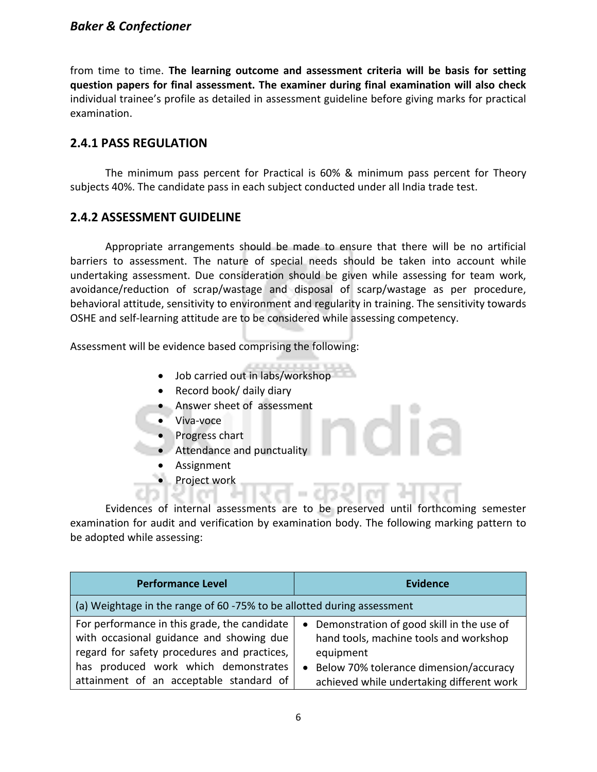#### *Baker & Confectioner*

from time to time. **The learning outcome and assessment criteria will be basis for setting question papers for final assessment. The examiner during final examination will also check**  individual trainee's profile as detailed in assessment guideline before giving marks for practical examination.

#### **2.4.1 PASS REGULATION**

The minimum pass percent for Practical is 60% & minimum pass percent for Theory subjects 40%. The candidate pass in each subject conducted under all India trade test.

#### **2.4.2 ASSESSMENT GUIDELINE**

Appropriate arrangements should be made to ensure that there will be no artificial barriers to assessment. The nature of special needs should be taken into account while undertaking assessment. Due consideration should be given while assessing for team work, avoidance/reduction of scrap/wastage and disposal of scarp/wastage as per procedure, behavioral attitude, sensitivity to environment and regularity in training. The sensitivity towards OSHE and self-learning attitude are to be considered while assessing competency.

Assessment will be evidence based comprising the following:

- Job carried out in labs/workshop
- Record book/ daily diary
- Answer sheet of assessment
- Viva-voce
- Progress chart
- Attendance and punctuality
- **Assignment**
- Project work

Evidences of internal assessments are to be preserved until forthcoming semester examination for audit and verification by examination body. The following marking pattern to be adopted while assessing:

| <b>Performance Level</b>                                                                                                                                                        | <b>Evidence</b>                                                                                                                                |
|---------------------------------------------------------------------------------------------------------------------------------------------------------------------------------|------------------------------------------------------------------------------------------------------------------------------------------------|
| (a) Weightage in the range of 60 -75% to be allotted during assessment                                                                                                          |                                                                                                                                                |
| For performance in this grade, the candidate<br>with occasional guidance and showing due<br>regard for safety procedures and practices,<br>has produced work which demonstrates | • Demonstration of good skill in the use of<br>hand tools, machine tools and workshop<br>equipment<br>• Below 70% tolerance dimension/accuracy |
| attainment of an acceptable standard of                                                                                                                                         | achieved while undertaking different work                                                                                                      |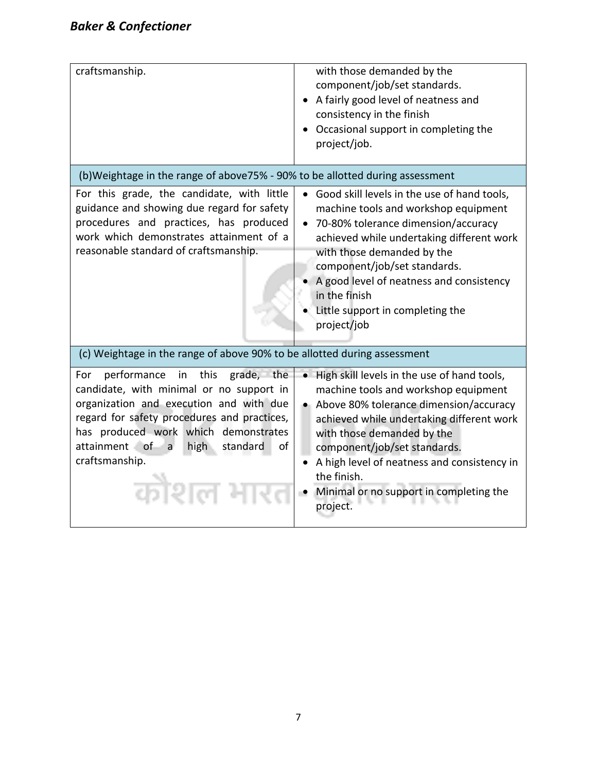| craftsmanship.                                                                                                                                                                                                                                                                             | with those demanded by the<br>component/job/set standards.<br>• A fairly good level of neatness and<br>consistency in the finish<br>Occasional support in completing the<br>project/job.                                                                                                                                                                             |
|--------------------------------------------------------------------------------------------------------------------------------------------------------------------------------------------------------------------------------------------------------------------------------------------|----------------------------------------------------------------------------------------------------------------------------------------------------------------------------------------------------------------------------------------------------------------------------------------------------------------------------------------------------------------------|
| (b) Weightage in the range of above 75% - 90% to be allotted during assessment                                                                                                                                                                                                             |                                                                                                                                                                                                                                                                                                                                                                      |
| For this grade, the candidate, with little<br>guidance and showing due regard for safety<br>procedures and practices, has produced<br>work which demonstrates attainment of a<br>reasonable standard of craftsmanship.                                                                     | • Good skill levels in the use of hand tools,<br>machine tools and workshop equipment<br>70-80% tolerance dimension/accuracy<br>$\bullet$<br>achieved while undertaking different work<br>with those demanded by the<br>component/job/set standards.<br>A good level of neatness and consistency<br>in the finish<br>Little support in completing the<br>project/job |
| (c) Weightage in the range of above 90% to be allotted during assessment                                                                                                                                                                                                                   |                                                                                                                                                                                                                                                                                                                                                                      |
| performance in this grade, the<br>For<br>candidate, with minimal or no support in<br>organization and execution and with due<br>regard for safety procedures and practices,<br>has produced work which demonstrates<br>attainment of a<br>high<br>of<br>standard<br>craftsmanship.<br>कोशल | • High skill levels in the use of hand tools,<br>machine tools and workshop equipment<br>• Above 80% tolerance dimension/accuracy<br>achieved while undertaking different work<br>with those demanded by the<br>component/job/set standards.<br>A high level of neatness and consistency in<br>the finish.<br>Minimal or no support in completing the<br>project.    |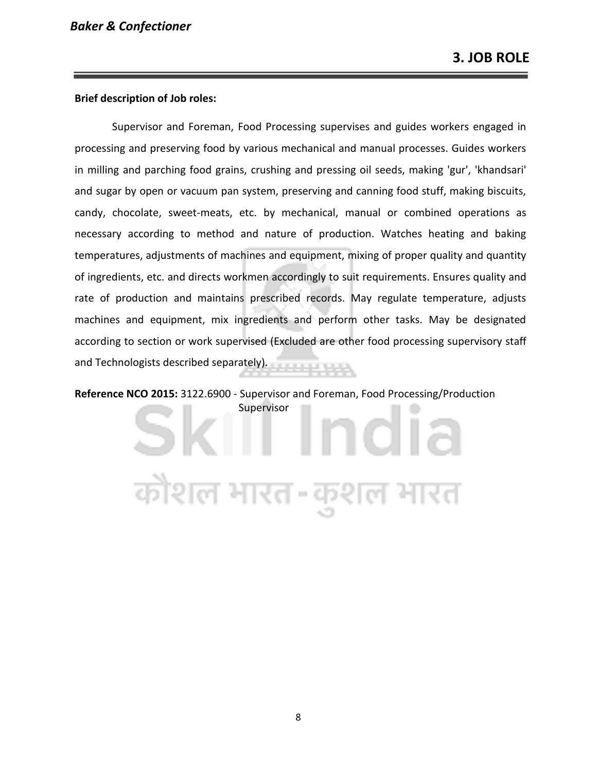#### **Brief description of Job roles:**

Supervisor and Foreman, Food Processing supervises and guides workers engaged in processing and preserving food by various mechanical and manual processes. Guides workers in milling and parching food grains, crushing and pressing oil seeds, making 'gur', 'khandsari' and sugar by open or vacuum pan system, preserving and canning food stuff, making biscuits, candy, chocolate, sweet-meats, etc. by mechanical, manual or combined operations as necessary according to method and nature of production. Watches heating and baking temperatures, adjustments of machines and equipment, mixing of proper quality and quantity of ingredients, etc. and directs workmen accordingly to suit requirements. Ensures quality and rate of production and maintains prescribed records. May regulate temperature, adjusts machines and equipment, mix ingredients and perform other tasks. May be designated according to section or work supervised (Excluded are other food processing supervisory staff and Technologists described separately).

**Reference NCO 2015:** 3122.6900 - Supervisor and Foreman, Food Processing/Production Supervisor

न्नेशल भारत-कुशल भारत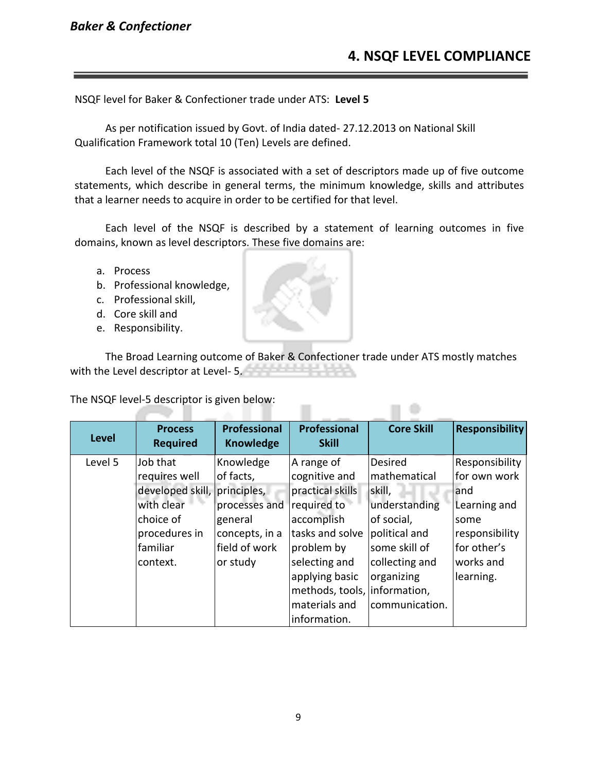#### *Baker & Confectioner*

NSQF level for Baker & Confectioner trade under ATS: **Level 5**

As per notification issued by Govt. of India dated- 27.12.2013 on National Skill Qualification Framework total 10 (Ten) Levels are defined.

Each level of the NSQF is associated with a set of descriptors made up of five outcome statements, which describe in general terms, the minimum knowledge, skills and attributes that a learner needs to acquire in order to be certified for that level.

Each level of the NSQF is described by a statement of learning outcomes in five domains, known as level descriptors. These five domains are:

- a. Process
- b. Professional knowledge,
- c. Professional skill,
- d. Core skill and
- e. Responsibility.

The Broad Learning outcome of Baker & Confectioner trade under ATS mostly matches with the Level descriptor at Level- 5.

The NSQF level-5 descriptor is given below:

| <b>Level</b> | <b>Process</b><br><b>Required</b> | <b>Professional</b><br><b>Knowledge</b> | Professional<br><b>Skill</b>  | <b>Core Skill</b>              | <b>Responsibility</b>          |
|--------------|-----------------------------------|-----------------------------------------|-------------------------------|--------------------------------|--------------------------------|
| Level 5      | Job that<br>requires well         | Knowledge<br>of facts,                  | A range of<br>cognitive and   | <b>Desired</b><br>mathematical | Responsibility<br>for own work |
|              | developed skill, principles,      |                                         | practical skills              | skill,                         | land                           |
|              | with clear                        | processes and                           | required to                   | understanding                  | Learning and                   |
|              | choice of                         | general                                 | accomplish<br>tasks and solve | of social,                     | some                           |
|              | procedures in<br>familiar         | concepts, in a<br>field of work         | problem by                    | political and<br>some skill of | responsibility<br>for other's  |
|              | context.                          | or study                                | selecting and                 | collecting and                 | works and                      |
|              |                                   |                                         | applying basic                | organizing                     | learning.                      |
|              |                                   |                                         | methods, tools, information,  |                                |                                |
|              |                                   |                                         | materials and                 | communication.                 |                                |
|              |                                   |                                         | information.                  |                                |                                |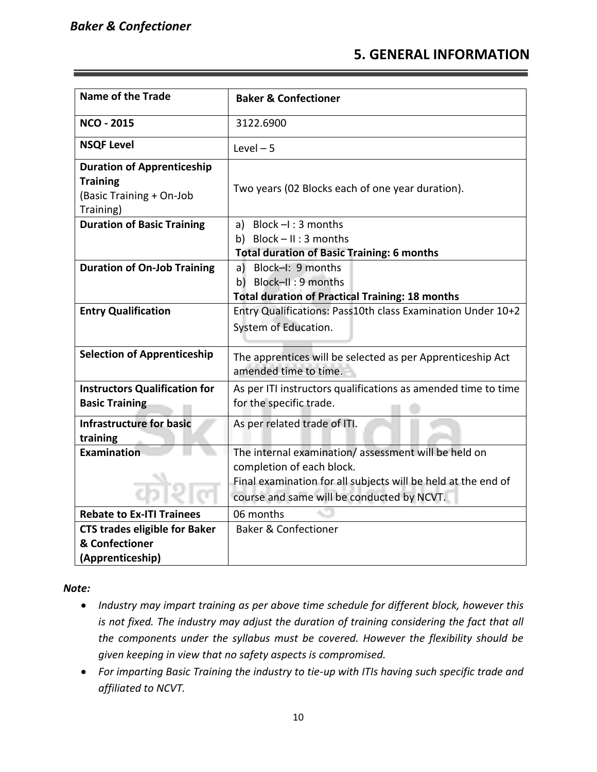### **5. GENERAL INFORMATION**

| <b>Name of the Trade</b>                                                                      | <b>Baker &amp; Confectioner</b>                                                                                                                                                                 |
|-----------------------------------------------------------------------------------------------|-------------------------------------------------------------------------------------------------------------------------------------------------------------------------------------------------|
| <b>NCO - 2015</b>                                                                             | 3122.6900                                                                                                                                                                                       |
| <b>NSQF Level</b>                                                                             | Level $-5$                                                                                                                                                                                      |
| <b>Duration of Apprenticeship</b><br><b>Training</b><br>(Basic Training + On-Job<br>Training) | Two years (02 Blocks each of one year duration).                                                                                                                                                |
| <b>Duration of Basic Training</b>                                                             | a) Block $-I$ : 3 months<br>b) Block-II: 3 months<br><b>Total duration of Basic Training: 6 months</b>                                                                                          |
| <b>Duration of On-Job Training</b>                                                            | a) Block-I: 9 months<br>b) Block-II: 9 months<br><b>Total duration of Practical Training: 18 months</b>                                                                                         |
| <b>Entry Qualification</b>                                                                    | Entry Qualifications: Pass10th class Examination Under 10+2<br>System of Education.                                                                                                             |
| <b>Selection of Apprenticeship</b>                                                            | The apprentices will be selected as per Apprenticeship Act<br>amended time to time.                                                                                                             |
| <b>Instructors Qualification for</b><br><b>Basic Training</b>                                 | As per ITI instructors qualifications as amended time to time<br>for the specific trade.                                                                                                        |
| <b>Infrastructure for basic</b><br>training                                                   | As per related trade of ITI.                                                                                                                                                                    |
| <b>Examination</b>                                                                            | The internal examination/assessment will be held on<br>completion of each block.<br>Final examination for all subjects will be held at the end of<br>course and same will be conducted by NCVT. |
| <b>Rebate to Ex-ITI Trainees</b>                                                              | 06 months                                                                                                                                                                                       |
| <b>CTS trades eligible for Baker</b><br>& Confectioner<br>(Apprenticeship)                    | <b>Baker &amp; Confectioner</b>                                                                                                                                                                 |

*Note:*

- *Industry may impart training as per above time schedule for different block, however this is not fixed. The industry may adjust the duration of training considering the fact that all the components under the syllabus must be covered. However the flexibility should be given keeping in view that no safety aspects is compromised.*
- *For imparting Basic Training the industry to tie-up with ITIs having such specific trade and affiliated to NCVT.*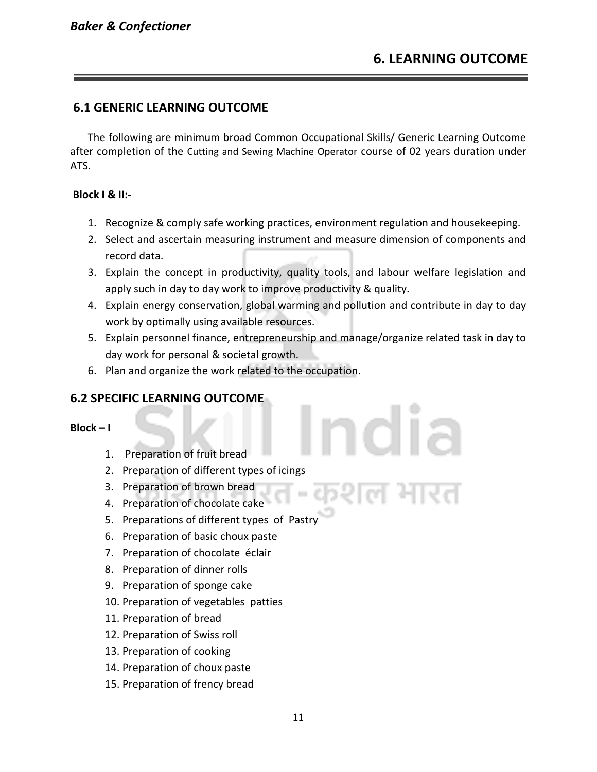#### **6.1 GENERIC LEARNING OUTCOME**

The following are minimum broad Common Occupational Skills/ Generic Learning Outcome after completion of the Cutting and Sewing Machine Operator course of 02 years duration under ATS.

#### **Block I & II:-**

- 1. Recognize & comply safe working practices, environment regulation and housekeeping.
- 2. Select and ascertain measuring instrument and measure dimension of components and record data.
- 3. Explain the concept in productivity, quality tools, and labour welfare legislation and apply such in day to day work to improve productivity & quality.
- 4. Explain energy conservation, global warming and pollution and contribute in day to day work by optimally using available resources.
- 5. Explain personnel finance, entrepreneurship and manage/organize related task in day to day work for personal & societal growth.
- 6. Plan and organize the work related to the occupation.

#### **6.2 SPECIFIC LEARNING OUTCOME**

**Block – I** 

- 1. Preparation of fruit bread
- 2. Preparation of different types of icings
- 3. Preparation of brown bread
- 4. Preparation of chocolate cake
- 5. Preparations of different types of Pastry
- 6. Preparation of basic choux paste
- 7. Preparation of chocolate éclair
- 8. Preparation of dinner rolls
- 9. Preparation of sponge cake
- 10. Preparation of vegetables patties
- 11. Preparation of bread
- 12. Preparation of Swiss roll
- 13. Preparation of cooking
- 14. Preparation of choux paste
- 15. Preparation of frency bread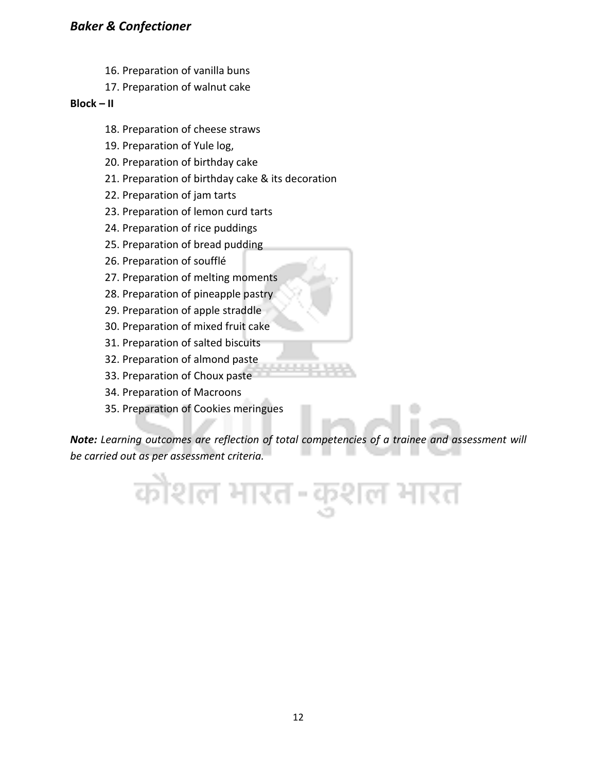#### *Baker & Confectioner*

- 16. Preparation of vanilla buns
- 17. Preparation of walnut cake

#### **Block – II**

- 18. Preparation of cheese straws
- 19. Preparation of Yule log,
- 20. Preparation of birthday cake
- 21. Preparation of birthday cake & its decoration
- 22. Preparation of jam tarts
- 23. Preparation of lemon curd tarts
- 24. Preparation of rice puddings
- 25. Preparation of bread pudding
- 26. Preparation of soufflé
- 27. Preparation of melting moments
- 28. Preparation of pineapple pastry
- 29. Preparation of apple straddle
- 30. Preparation of mixed fruit cake
- 31. Preparation of salted biscuits
- 32. Preparation of almond paste
- 33. Preparation of Choux paste
- 34. Preparation of Macroons
- 35. Preparation of Cookies meringues

*Note: Learning outcomes are reflection of total competencies of a trainee and assessment will be carried out as per assessment criteria.*

कौशल भारत-कुशल भारत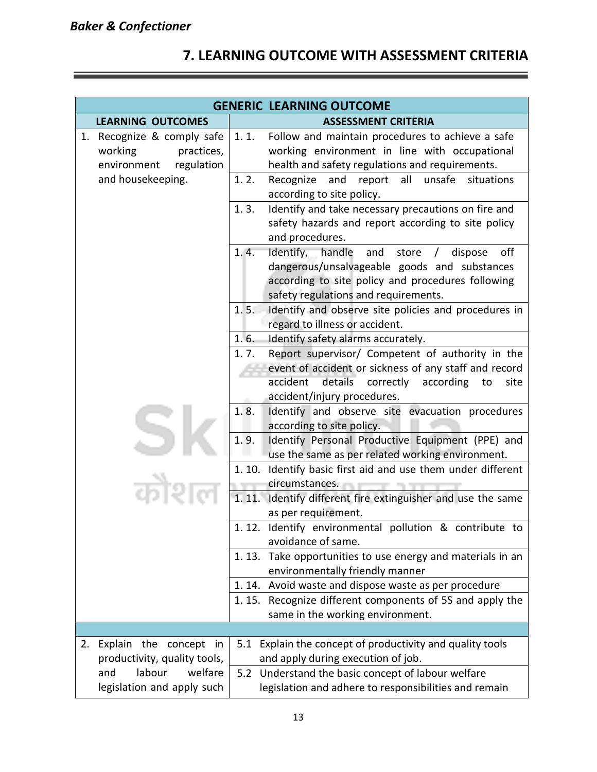# **7. LEARNING OUTCOME WITH ASSESSMENT CRITERIA**

|                                                                                     | <b>GENERIC LEARNING OUTCOME</b>                                                                                                                                                                           |  |  |
|-------------------------------------------------------------------------------------|-----------------------------------------------------------------------------------------------------------------------------------------------------------------------------------------------------------|--|--|
| <b>LEARNING OUTCOMES</b>                                                            | <b>ASSESSMENT CRITERIA</b>                                                                                                                                                                                |  |  |
| Recognize & comply safe<br>1.<br>working<br>practices,<br>environment<br>regulation | 1.1.<br>Follow and maintain procedures to achieve a safe<br>working environment in line with occupational<br>health and safety regulations and requirements.                                              |  |  |
| and housekeeping.                                                                   | 1.2.<br>Recognize<br>and<br>all<br>unsafe<br>situations<br>report<br>according to site policy.                                                                                                            |  |  |
|                                                                                     | Identify and take necessary precautions on fire and<br>1.3.<br>safety hazards and report according to site policy<br>and procedures.                                                                      |  |  |
|                                                                                     | Identify, handle and store / dispose<br>1.4.<br>off<br>dangerous/unsalvageable goods and substances<br>according to site policy and procedures following<br>safety regulations and requirements.          |  |  |
|                                                                                     | Identify and observe site policies and procedures in<br>1.5.<br>regard to illness or accident.                                                                                                            |  |  |
|                                                                                     | 1.6.<br>Identify safety alarms accurately.                                                                                                                                                                |  |  |
|                                                                                     | Report supervisor/ Competent of authority in the<br>1.7.<br>event of accident or sickness of any staff and record<br>details correctly according<br>accident<br>to<br>site<br>accident/injury procedures. |  |  |
|                                                                                     | 1.8.<br>Identify and observe site evacuation procedures<br>according to site policy.<br>1.9.<br>Identify Personal Productive Equipment (PPE) and<br>use the same as per related working environment.      |  |  |
|                                                                                     | 1.10. Identify basic first aid and use them under different<br>circumstances.                                                                                                                             |  |  |
|                                                                                     | 1.11.<br>Identify different fire extinguisher and use the same<br>as per requirement.                                                                                                                     |  |  |
|                                                                                     | 1.12. Identify environmental pollution & contribute to<br>avoidance of same.                                                                                                                              |  |  |
|                                                                                     | 1.13. Take opportunities to use energy and materials in an<br>environmentally friendly manner                                                                                                             |  |  |
|                                                                                     | 1.14. Avoid waste and dispose waste as per procedure                                                                                                                                                      |  |  |
|                                                                                     | 1.15. Recognize different components of 5S and apply the<br>same in the working environment.                                                                                                              |  |  |
|                                                                                     |                                                                                                                                                                                                           |  |  |
| Explain the concept in<br>2.<br>productivity, quality tools,                        | 5.1 Explain the concept of productivity and quality tools<br>and apply during execution of job.                                                                                                           |  |  |
| labour<br>welfare<br>and<br>legislation and apply such                              | 5.2 Understand the basic concept of labour welfare<br>legislation and adhere to responsibilities and remain                                                                                               |  |  |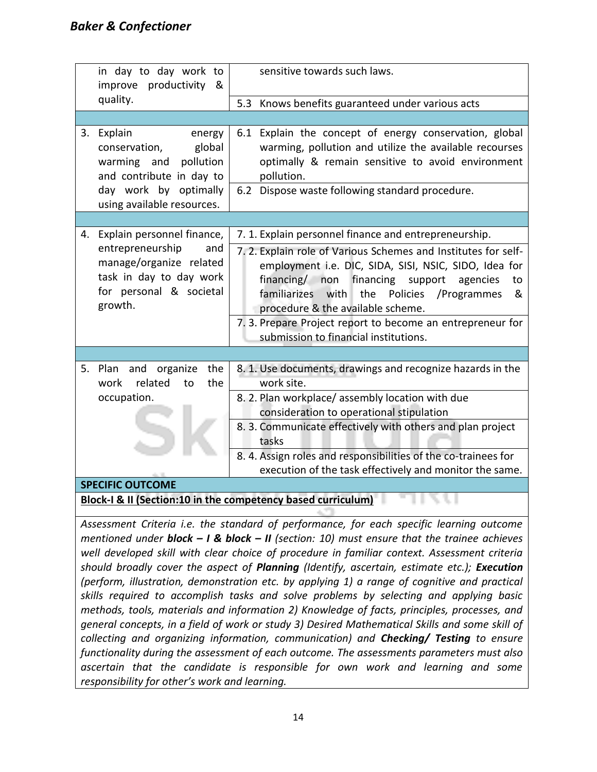| in day to day work to<br>improve productivity<br>&                                                                  | sensitive towards such laws.                                                                                                                                                                                                                                                                                                                   |
|---------------------------------------------------------------------------------------------------------------------|------------------------------------------------------------------------------------------------------------------------------------------------------------------------------------------------------------------------------------------------------------------------------------------------------------------------------------------------|
| quality.                                                                                                            | 5.3 Knows benefits guaranteed under various acts                                                                                                                                                                                                                                                                                               |
|                                                                                                                     |                                                                                                                                                                                                                                                                                                                                                |
| Explain<br>3.<br>energy<br>global<br>conservation,<br>warming and<br>pollution<br>and contribute in day to          | 6.1 Explain the concept of energy conservation, global<br>warming, pollution and utilize the available recourses<br>optimally & remain sensitive to avoid environment<br>pollution.                                                                                                                                                            |
| day work by optimally<br>using available resources.                                                                 | 6.2 Dispose waste following standard procedure.                                                                                                                                                                                                                                                                                                |
|                                                                                                                     |                                                                                                                                                                                                                                                                                                                                                |
| Explain personnel finance,<br>4.                                                                                    | 7. 1. Explain personnel finance and entrepreneurship.                                                                                                                                                                                                                                                                                          |
| entrepreneurship<br>and<br>manage/organize related<br>task in day to day work<br>for personal & societal<br>growth. | 7.2. Explain role of Various Schemes and Institutes for self-<br>employment i.e. DIC, SIDA, SISI, NSIC, SIDO, Idea for<br>financing/ non<br>financing support<br>agencies<br>to<br>familiarizes with<br>the<br>Policies<br>/Programmes<br>&<br>procedure & the available scheme.<br>7. 3. Prepare Project report to become an entrepreneur for |
|                                                                                                                     | submission to financial institutions.                                                                                                                                                                                                                                                                                                          |
| 5. Plan and organize<br>the<br>related<br>the<br>work<br>to                                                         | 8. 1. Use documents, drawings and recognize hazards in the<br>work site.                                                                                                                                                                                                                                                                       |
| occupation.                                                                                                         | 8. 2. Plan workplace/assembly location with due                                                                                                                                                                                                                                                                                                |
|                                                                                                                     | consideration to operational stipulation                                                                                                                                                                                                                                                                                                       |
|                                                                                                                     | 8. 3. Communicate effectively with others and plan project<br>tasks                                                                                                                                                                                                                                                                            |
|                                                                                                                     | 8. 4. Assign roles and responsibilities of the co-trainees for                                                                                                                                                                                                                                                                                 |
|                                                                                                                     | execution of the task effectively and monitor the same.                                                                                                                                                                                                                                                                                        |
| <b>SPECIFIC OUTCOME</b>                                                                                             |                                                                                                                                                                                                                                                                                                                                                |

**Block-I & II (Section:10 in the competency based curriculum)**

*Assessment Criteria i.e. the standard of performance, for each specific learning outcome mentioned under block – I & block – II (section: 10) must ensure that the trainee achieves well developed skill with clear choice of procedure in familiar context. Assessment criteria should broadly cover the aspect of Planning (Identify, ascertain, estimate etc.); Execution (perform, illustration, demonstration etc. by applying 1) a range of cognitive and practical skills required to accomplish tasks and solve problems by selecting and applying basic methods, tools, materials and information 2) Knowledge of facts, principles, processes, and general concepts, in a field of work or study 3) Desired Mathematical Skills and some skill of collecting and organizing information, communication) and Checking/ Testing to ensure functionality during the assessment of each outcome. The assessments parameters must also ascertain that the candidate is responsible for own work and learning and some responsibility for other's work and learning.*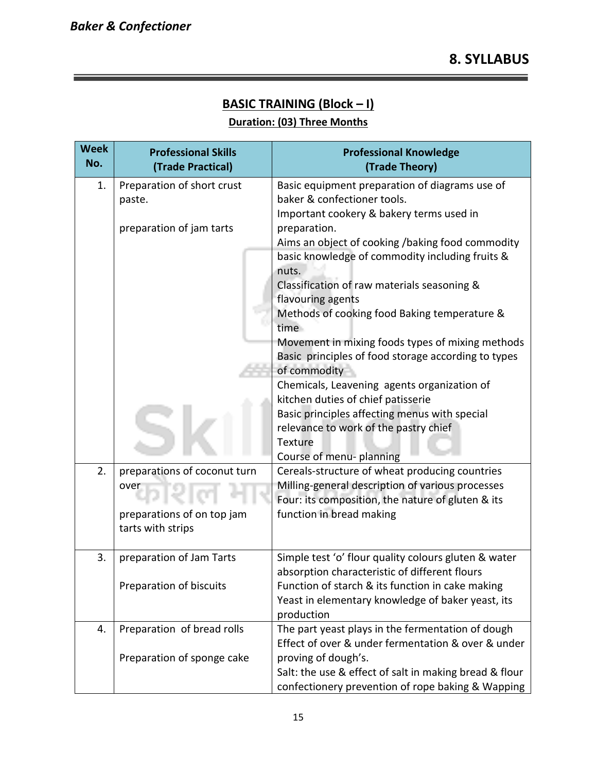# **BASIC TRAINING (Block – I)**

#### **Duration: (03) Three Months**

| <b>Week</b><br>No. | <b>Professional Skills</b><br>(Trade Practical) | <b>Professional Knowledge</b><br>(Trade Theory)                                                       |
|--------------------|-------------------------------------------------|-------------------------------------------------------------------------------------------------------|
| 1.                 | Preparation of short crust                      | Basic equipment preparation of diagrams use of                                                        |
|                    | paste.                                          | baker & confectioner tools.                                                                           |
|                    |                                                 | Important cookery & bakery terms used in                                                              |
|                    | preparation of jam tarts                        | preparation.                                                                                          |
|                    |                                                 | Aims an object of cooking /baking food commodity                                                      |
|                    |                                                 | basic knowledge of commodity including fruits &<br>nuts.                                              |
|                    |                                                 | Classification of raw materials seasoning &                                                           |
|                    |                                                 | flavouring agents                                                                                     |
|                    |                                                 | Methods of cooking food Baking temperature &                                                          |
|                    |                                                 | time                                                                                                  |
|                    |                                                 | Movement in mixing foods types of mixing methods                                                      |
|                    |                                                 | Basic principles of food storage according to types                                                   |
|                    |                                                 | of commodity                                                                                          |
|                    |                                                 | Chemicals, Leavening agents organization of                                                           |
|                    |                                                 | kitchen duties of chief patisserie                                                                    |
|                    |                                                 | Basic principles affecting menus with special                                                         |
|                    |                                                 | relevance to work of the pastry chief                                                                 |
|                    |                                                 | Texture                                                                                               |
|                    |                                                 | Course of menu- planning                                                                              |
| 2.                 | preparations of coconut turn                    | Cereals-structure of wheat producing countries                                                        |
|                    | over                                            | Milling-general description of various processes<br>Four: its composition, the nature of gluten & its |
|                    | preparations of on top jam                      | function in bread making                                                                              |
|                    | tarts with strips                               |                                                                                                       |
|                    |                                                 |                                                                                                       |
| 3.                 | preparation of Jam Tarts                        | Simple test 'o' flour quality colours gluten & water                                                  |
|                    |                                                 | absorption characteristic of different flours                                                         |
|                    | Preparation of biscuits                         | Function of starch & its function in cake making                                                      |
|                    |                                                 | Yeast in elementary knowledge of baker yeast, its                                                     |
|                    |                                                 | production                                                                                            |
| 4.                 | Preparation of bread rolls                      | The part yeast plays in the fermentation of dough                                                     |
|                    |                                                 | Effect of over & under fermentation & over & under                                                    |
|                    | Preparation of sponge cake                      | proving of dough's.                                                                                   |
|                    |                                                 | Salt: the use & effect of salt in making bread & flour                                                |
|                    |                                                 | confectionery prevention of rope baking & Wapping                                                     |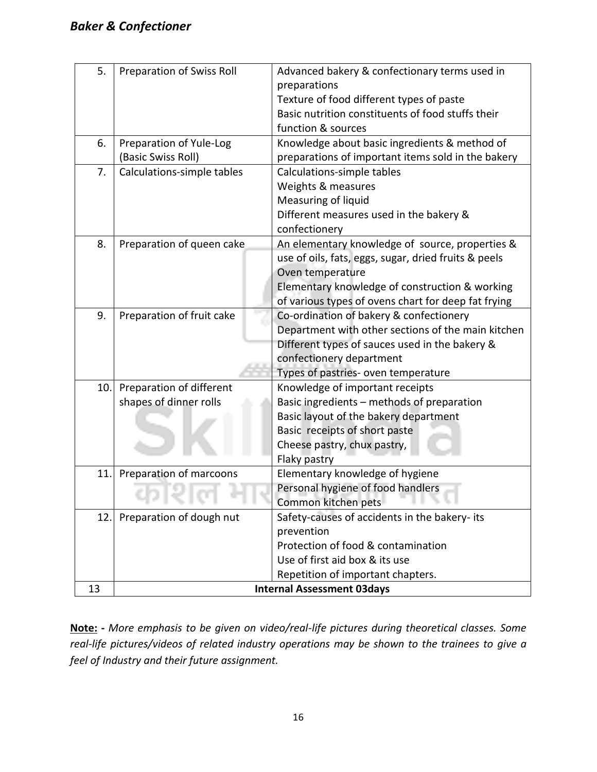| 5.  | <b>Preparation of Swiss Roll</b> | Advanced bakery & confectionary terms used in        |  |  |  |  |  |  |  |
|-----|----------------------------------|------------------------------------------------------|--|--|--|--|--|--|--|
|     |                                  | preparations                                         |  |  |  |  |  |  |  |
|     |                                  | Texture of food different types of paste             |  |  |  |  |  |  |  |
|     |                                  | Basic nutrition constituents of food stuffs their    |  |  |  |  |  |  |  |
|     |                                  | function & sources                                   |  |  |  |  |  |  |  |
| 6.  | Preparation of Yule-Log          | Knowledge about basic ingredients & method of        |  |  |  |  |  |  |  |
|     | (Basic Swiss Roll)               | preparations of important items sold in the bakery   |  |  |  |  |  |  |  |
| 7.  | Calculations-simple tables       | Calculations-simple tables                           |  |  |  |  |  |  |  |
|     |                                  | Weights & measures                                   |  |  |  |  |  |  |  |
|     |                                  | Measuring of liquid                                  |  |  |  |  |  |  |  |
|     |                                  | Different measures used in the bakery &              |  |  |  |  |  |  |  |
|     |                                  | confectionery                                        |  |  |  |  |  |  |  |
| 8.  | Preparation of queen cake        | An elementary knowledge of source, properties &      |  |  |  |  |  |  |  |
|     |                                  | use of oils, fats, eggs, sugar, dried fruits & peels |  |  |  |  |  |  |  |
|     |                                  | Oven temperature                                     |  |  |  |  |  |  |  |
|     |                                  | Elementary knowledge of construction & working       |  |  |  |  |  |  |  |
|     |                                  | of various types of ovens chart for deep fat frying  |  |  |  |  |  |  |  |
| 9.  | Preparation of fruit cake        | Co-ordination of bakery & confectionery              |  |  |  |  |  |  |  |
|     |                                  | Department with other sections of the main kitchen   |  |  |  |  |  |  |  |
|     |                                  | Different types of sauces used in the bakery &       |  |  |  |  |  |  |  |
|     |                                  | confectionery department                             |  |  |  |  |  |  |  |
|     |                                  | Types of pastries- oven temperature                  |  |  |  |  |  |  |  |
| 10. | Preparation of different         | Knowledge of important receipts                      |  |  |  |  |  |  |  |
|     | shapes of dinner rolls           | Basic ingredients - methods of preparation           |  |  |  |  |  |  |  |
|     |                                  | Basic layout of the bakery department                |  |  |  |  |  |  |  |
|     |                                  | Basic receipts of short paste                        |  |  |  |  |  |  |  |
|     |                                  | Cheese pastry, chux pastry,                          |  |  |  |  |  |  |  |
|     |                                  | Flaky pastry                                         |  |  |  |  |  |  |  |
| 11. | Preparation of marcoons          | Elementary knowledge of hygiene                      |  |  |  |  |  |  |  |
|     |                                  | Personal hygiene of food handlers                    |  |  |  |  |  |  |  |
|     |                                  | Common kitchen pets                                  |  |  |  |  |  |  |  |
| 12. | Preparation of dough nut         | Safety-causes of accidents in the bakery- its        |  |  |  |  |  |  |  |
|     |                                  | prevention                                           |  |  |  |  |  |  |  |
|     |                                  | Protection of food & contamination                   |  |  |  |  |  |  |  |
|     |                                  | Use of first aid box & its use                       |  |  |  |  |  |  |  |
|     |                                  | Repetition of important chapters.                    |  |  |  |  |  |  |  |
| 13  |                                  | <b>Internal Assessment 03days</b>                    |  |  |  |  |  |  |  |

**Note: -** *More emphasis to be given on video/real-life pictures during theoretical classes. Some real-life pictures/videos of related industry operations may be shown to the trainees to give a feel of Industry and their future assignment.*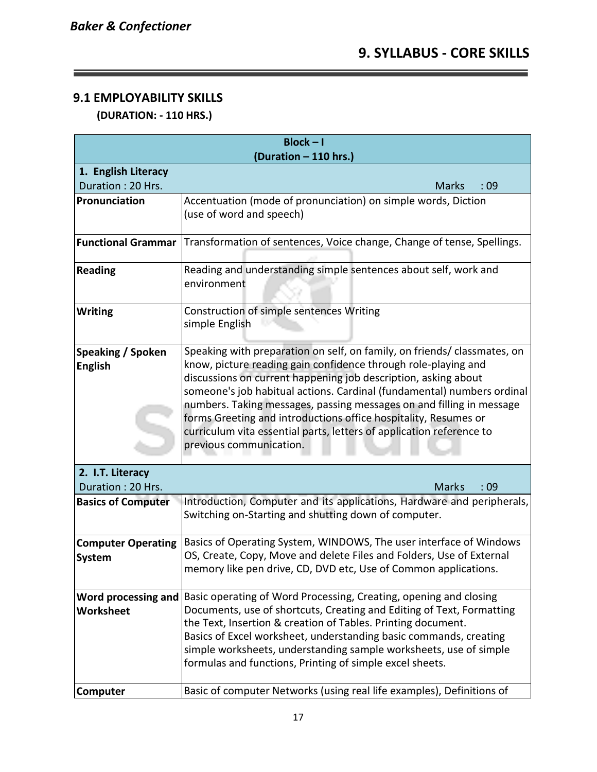## **9.1 EMPLOYABILITY SKILLS**

 **(DURATION: - 110 HRS.)**

| $Block - I$<br>(Duration - 110 hrs.)                                                             |                                                                                                                                                                                                                                                                                                                                                                                                                                                                                                                                      |  |  |  |  |  |  |  |
|--------------------------------------------------------------------------------------------------|--------------------------------------------------------------------------------------------------------------------------------------------------------------------------------------------------------------------------------------------------------------------------------------------------------------------------------------------------------------------------------------------------------------------------------------------------------------------------------------------------------------------------------------|--|--|--|--|--|--|--|
| 1. English Literacy                                                                              |                                                                                                                                                                                                                                                                                                                                                                                                                                                                                                                                      |  |  |  |  |  |  |  |
| Duration: 20 Hrs.                                                                                | <b>Marks</b><br>:09                                                                                                                                                                                                                                                                                                                                                                                                                                                                                                                  |  |  |  |  |  |  |  |
| Pronunciation                                                                                    | Accentuation (mode of pronunciation) on simple words, Diction<br>(use of word and speech)                                                                                                                                                                                                                                                                                                                                                                                                                                            |  |  |  |  |  |  |  |
| <b>Functional Grammar</b>                                                                        | Transformation of sentences, Voice change, Change of tense, Spellings.                                                                                                                                                                                                                                                                                                                                                                                                                                                               |  |  |  |  |  |  |  |
| Reading and understanding simple sentences about self, work and<br><b>Reading</b><br>environment |                                                                                                                                                                                                                                                                                                                                                                                                                                                                                                                                      |  |  |  |  |  |  |  |
| <b>Writing</b>                                                                                   | Construction of simple sentences Writing<br>simple English                                                                                                                                                                                                                                                                                                                                                                                                                                                                           |  |  |  |  |  |  |  |
| <b>Speaking / Spoken</b><br><b>English</b>                                                       | Speaking with preparation on self, on family, on friends/ classmates, on<br>know, picture reading gain confidence through role-playing and<br>discussions on current happening job description, asking about<br>someone's job habitual actions. Cardinal (fundamental) numbers ordinal<br>numbers. Taking messages, passing messages on and filling in message<br>forms Greeting and introductions office hospitality, Resumes or<br>curriculum vita essential parts, letters of application reference to<br>previous communication. |  |  |  |  |  |  |  |
| 2. I.T. Literacy<br>Duration: 20 Hrs.                                                            | <b>Marks</b><br>:09                                                                                                                                                                                                                                                                                                                                                                                                                                                                                                                  |  |  |  |  |  |  |  |
| <b>Basics of Computer</b>                                                                        | Introduction, Computer and its applications, Hardware and peripherals,<br>Switching on-Starting and shutting down of computer.                                                                                                                                                                                                                                                                                                                                                                                                       |  |  |  |  |  |  |  |
| <b>Computer Operating</b><br>System                                                              | Basics of Operating System, WINDOWS, The user interface of Windows<br>OS, Create, Copy, Move and delete Files and Folders, Use of External<br>memory like pen drive, CD, DVD etc, Use of Common applications.                                                                                                                                                                                                                                                                                                                        |  |  |  |  |  |  |  |
| Word processing and<br><b>Worksheet</b>                                                          | Basic operating of Word Processing, Creating, opening and closing<br>Documents, use of shortcuts, Creating and Editing of Text, Formatting<br>the Text, Insertion & creation of Tables. Printing document.<br>Basics of Excel worksheet, understanding basic commands, creating<br>simple worksheets, understanding sample worksheets, use of simple<br>formulas and functions, Printing of simple excel sheets.                                                                                                                     |  |  |  |  |  |  |  |
| Computer                                                                                         | Basic of computer Networks (using real life examples), Definitions of                                                                                                                                                                                                                                                                                                                                                                                                                                                                |  |  |  |  |  |  |  |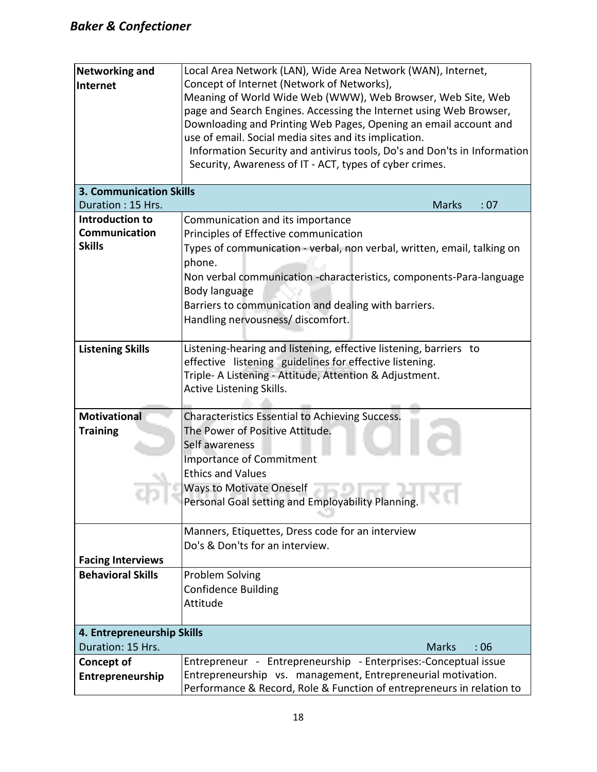| <b>Networking and</b><br>Internet     | Local Area Network (LAN), Wide Area Network (WAN), Internet,<br>Concept of Internet (Network of Networks),<br>Meaning of World Wide Web (WWW), Web Browser, Web Site, Web<br>page and Search Engines. Accessing the Internet using Web Browser,<br>Downloading and Printing Web Pages, Opening an email account and<br>use of email. Social media sites and its implication.<br>Information Security and antivirus tools, Do's and Don'ts in Information |  |  |  |  |  |  |
|---------------------------------------|----------------------------------------------------------------------------------------------------------------------------------------------------------------------------------------------------------------------------------------------------------------------------------------------------------------------------------------------------------------------------------------------------------------------------------------------------------|--|--|--|--|--|--|
|                                       | Security, Awareness of IT - ACT, types of cyber crimes.                                                                                                                                                                                                                                                                                                                                                                                                  |  |  |  |  |  |  |
| <b>3. Communication Skills</b>        |                                                                                                                                                                                                                                                                                                                                                                                                                                                          |  |  |  |  |  |  |
| Duration: 15 Hrs.                     | <b>Marks</b><br>: 07                                                                                                                                                                                                                                                                                                                                                                                                                                     |  |  |  |  |  |  |
| Introduction to                       | Communication and its importance                                                                                                                                                                                                                                                                                                                                                                                                                         |  |  |  |  |  |  |
| Communication                         | Principles of Effective communication                                                                                                                                                                                                                                                                                                                                                                                                                    |  |  |  |  |  |  |
| <b>Skills</b>                         | Types of communication - verbal, non verbal, written, email, talking on<br>phone.<br>Non verbal communication -characteristics, components-Para-language<br>Body language<br>Barriers to communication and dealing with barriers.<br>Handling nervousness/ discomfort.                                                                                                                                                                                   |  |  |  |  |  |  |
|                                       |                                                                                                                                                                                                                                                                                                                                                                                                                                                          |  |  |  |  |  |  |
| <b>Listening Skills</b>               | Listening-hearing and listening, effective listening, barriers to<br>effective listening guidelines for effective listening.<br>Triple- A Listening - Attitude, Attention & Adjustment.<br>Active Listening Skills.                                                                                                                                                                                                                                      |  |  |  |  |  |  |
| <b>Motivational</b>                   | Characteristics Essential to Achieving Success.                                                                                                                                                                                                                                                                                                                                                                                                          |  |  |  |  |  |  |
| <b>Training</b>                       | The Power of Positive Attitude.<br>Self awareness<br><b>Importance of Commitment</b><br><b>Ethics and Values</b><br><b>Ways to Motivate Oneself</b><br><b>Personal Goal setting and Employability Planning.</b> The Lines                                                                                                                                                                                                                                |  |  |  |  |  |  |
|                                       |                                                                                                                                                                                                                                                                                                                                                                                                                                                          |  |  |  |  |  |  |
|                                       | Manners, Etiquettes, Dress code for an interview<br>Do's & Don'ts for an interview.                                                                                                                                                                                                                                                                                                                                                                      |  |  |  |  |  |  |
| <b>Facing Interviews</b>              |                                                                                                                                                                                                                                                                                                                                                                                                                                                          |  |  |  |  |  |  |
| <b>Behavioral Skills</b>              | Problem Solving<br><b>Confidence Building</b><br>Attitude                                                                                                                                                                                                                                                                                                                                                                                                |  |  |  |  |  |  |
| 4. Entrepreneurship Skills            |                                                                                                                                                                                                                                                                                                                                                                                                                                                          |  |  |  |  |  |  |
| Duration: 15 Hrs.                     | <b>Marks</b><br>:06                                                                                                                                                                                                                                                                                                                                                                                                                                      |  |  |  |  |  |  |
| <b>Concept of</b><br>Entrepreneurship | Entrepreneur - Entrepreneurship - Enterprises:-Conceptual issue<br>Entrepreneurship vs. management, Entrepreneurial motivation.<br>Performance & Record, Role & Function of entrepreneurs in relation to                                                                                                                                                                                                                                                 |  |  |  |  |  |  |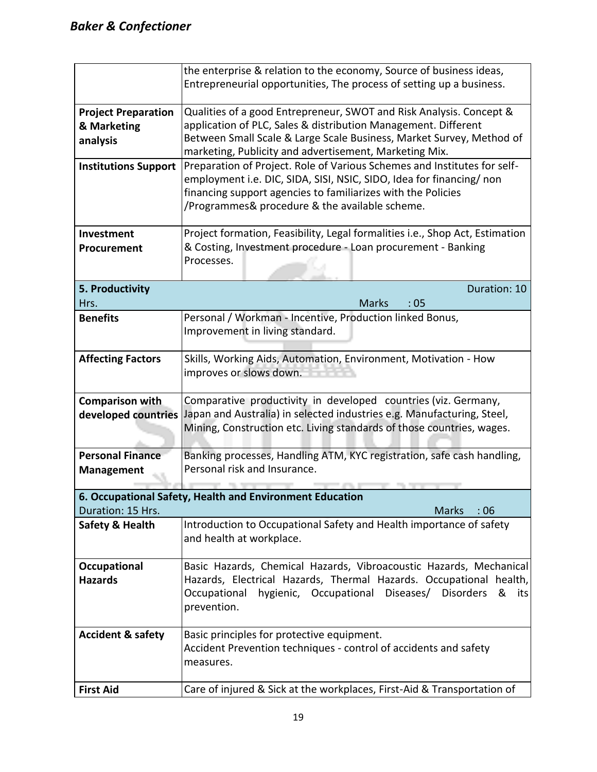|                                                                                          | the enterprise & relation to the economy, Source of business ideas,<br>Entrepreneurial opportunities, The process of setting up a business.     |  |  |  |  |  |  |  |  |  |
|------------------------------------------------------------------------------------------|-------------------------------------------------------------------------------------------------------------------------------------------------|--|--|--|--|--|--|--|--|--|
| <b>Project Preparation</b>                                                               | Qualities of a good Entrepreneur, SWOT and Risk Analysis. Concept &                                                                             |  |  |  |  |  |  |  |  |  |
| & Marketing                                                                              | application of PLC, Sales & distribution Management. Different                                                                                  |  |  |  |  |  |  |  |  |  |
| analysis                                                                                 | Between Small Scale & Large Scale Business, Market Survey, Method of                                                                            |  |  |  |  |  |  |  |  |  |
|                                                                                          | marketing, Publicity and advertisement, Marketing Mix.                                                                                          |  |  |  |  |  |  |  |  |  |
| <b>Institutions Support</b>                                                              | Preparation of Project. Role of Various Schemes and Institutes for self-                                                                        |  |  |  |  |  |  |  |  |  |
|                                                                                          | employment i.e. DIC, SIDA, SISI, NSIC, SIDO, Idea for financing/ non                                                                            |  |  |  |  |  |  |  |  |  |
|                                                                                          | financing support agencies to familiarizes with the Policies                                                                                    |  |  |  |  |  |  |  |  |  |
|                                                                                          | /Programmes& procedure & the available scheme.                                                                                                  |  |  |  |  |  |  |  |  |  |
| Investment                                                                               | Project formation, Feasibility, Legal formalities i.e., Shop Act, Estimation                                                                    |  |  |  |  |  |  |  |  |  |
| Procurement                                                                              | & Costing, Investment procedure - Loan procurement - Banking                                                                                    |  |  |  |  |  |  |  |  |  |
|                                                                                          | Processes.                                                                                                                                      |  |  |  |  |  |  |  |  |  |
|                                                                                          |                                                                                                                                                 |  |  |  |  |  |  |  |  |  |
| 5. Productivity                                                                          | Duration: 10                                                                                                                                    |  |  |  |  |  |  |  |  |  |
| Hrs.                                                                                     | <b>Marks</b><br>:05                                                                                                                             |  |  |  |  |  |  |  |  |  |
| <b>Benefits</b>                                                                          | Personal / Workman - Incentive, Production linked Bonus,                                                                                        |  |  |  |  |  |  |  |  |  |
|                                                                                          | Improvement in living standard.                                                                                                                 |  |  |  |  |  |  |  |  |  |
|                                                                                          |                                                                                                                                                 |  |  |  |  |  |  |  |  |  |
| <b>Affecting Factors</b>                                                                 | Skills, Working Aids, Automation, Environment, Motivation - How                                                                                 |  |  |  |  |  |  |  |  |  |
|                                                                                          | improves or slows down.                                                                                                                         |  |  |  |  |  |  |  |  |  |
|                                                                                          |                                                                                                                                                 |  |  |  |  |  |  |  |  |  |
| Comparative productivity in developed countries (viz. Germany,<br><b>Comparison with</b> |                                                                                                                                                 |  |  |  |  |  |  |  |  |  |
| developed countries                                                                      | Japan and Australia) in selected industries e.g. Manufacturing, Steel,<br>Mining, Construction etc. Living standards of those countries, wages. |  |  |  |  |  |  |  |  |  |
|                                                                                          |                                                                                                                                                 |  |  |  |  |  |  |  |  |  |
| <b>Personal Finance</b>                                                                  | Banking processes, Handling ATM, KYC registration, safe cash handling,                                                                          |  |  |  |  |  |  |  |  |  |
| <b>Management</b>                                                                        | Personal risk and Insurance.                                                                                                                    |  |  |  |  |  |  |  |  |  |
|                                                                                          |                                                                                                                                                 |  |  |  |  |  |  |  |  |  |
|                                                                                          | 6. Occupational Safety, Health and Environment Education                                                                                        |  |  |  |  |  |  |  |  |  |
| Duration: 15 Hrs.                                                                        | <b>Marks</b><br>:06                                                                                                                             |  |  |  |  |  |  |  |  |  |
| <b>Safety &amp; Health</b>                                                               | Introduction to Occupational Safety and Health importance of safety                                                                             |  |  |  |  |  |  |  |  |  |
|                                                                                          | and health at workplace.                                                                                                                        |  |  |  |  |  |  |  |  |  |
|                                                                                          |                                                                                                                                                 |  |  |  |  |  |  |  |  |  |
| Occupational                                                                             | Basic Hazards, Chemical Hazards, Vibroacoustic Hazards, Mechanical                                                                              |  |  |  |  |  |  |  |  |  |
| <b>Hazards</b>                                                                           | Hazards, Electrical Hazards, Thermal Hazards. Occupational health,                                                                              |  |  |  |  |  |  |  |  |  |
|                                                                                          | hygienic, Occupational<br>Diseases/ Disorders<br>Occupational<br>&<br>its                                                                       |  |  |  |  |  |  |  |  |  |
|                                                                                          | prevention.                                                                                                                                     |  |  |  |  |  |  |  |  |  |
|                                                                                          |                                                                                                                                                 |  |  |  |  |  |  |  |  |  |
| <b>Accident &amp; safety</b>                                                             | Basic principles for protective equipment.                                                                                                      |  |  |  |  |  |  |  |  |  |
|                                                                                          | Accident Prevention techniques - control of accidents and safety                                                                                |  |  |  |  |  |  |  |  |  |
|                                                                                          | measures.                                                                                                                                       |  |  |  |  |  |  |  |  |  |
| <b>First Aid</b>                                                                         | Care of injured & Sick at the workplaces, First-Aid & Transportation of                                                                         |  |  |  |  |  |  |  |  |  |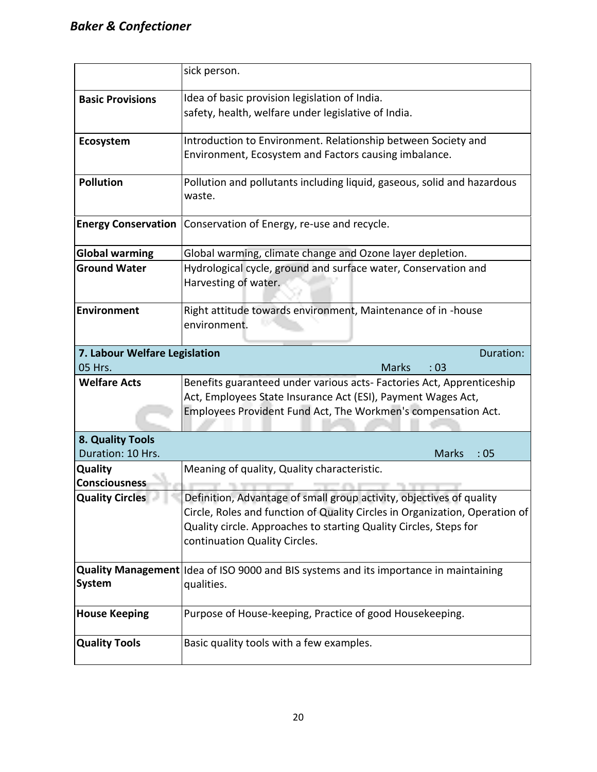|                               | sick person.                                                                           |  |  |  |  |  |  |  |
|-------------------------------|----------------------------------------------------------------------------------------|--|--|--|--|--|--|--|
| <b>Basic Provisions</b>       | Idea of basic provision legislation of India.                                          |  |  |  |  |  |  |  |
|                               | safety, health, welfare under legislative of India.                                    |  |  |  |  |  |  |  |
| Ecosystem                     | Introduction to Environment. Relationship between Society and                          |  |  |  |  |  |  |  |
|                               | Environment, Ecosystem and Factors causing imbalance.                                  |  |  |  |  |  |  |  |
| <b>Pollution</b>              | Pollution and pollutants including liquid, gaseous, solid and hazardous                |  |  |  |  |  |  |  |
|                               | waste.                                                                                 |  |  |  |  |  |  |  |
| <b>Energy Conservation</b>    | Conservation of Energy, re-use and recycle.                                            |  |  |  |  |  |  |  |
| <b>Global warming</b>         | Global warming, climate change and Ozone layer depletion.                              |  |  |  |  |  |  |  |
| <b>Ground Water</b>           | Hydrological cycle, ground and surface water, Conservation and<br>Harvesting of water. |  |  |  |  |  |  |  |
| <b>Environment</b>            | Right attitude towards environment, Maintenance of in -house<br>environment.           |  |  |  |  |  |  |  |
| 7. Labour Welfare Legislation | Duration:                                                                              |  |  |  |  |  |  |  |
| 05 Hrs.                       | <b>Marks</b><br>:03                                                                    |  |  |  |  |  |  |  |
| <b>Welfare Acts</b>           | Benefits guaranteed under various acts- Factories Act, Apprenticeship                  |  |  |  |  |  |  |  |
|                               | Act, Employees State Insurance Act (ESI), Payment Wages Act,                           |  |  |  |  |  |  |  |
|                               | Employees Provident Fund Act, The Workmen's compensation Act.                          |  |  |  |  |  |  |  |
| 8. Quality Tools              |                                                                                        |  |  |  |  |  |  |  |
| Duration: 10 Hrs.             | <b>Marks</b><br>:05                                                                    |  |  |  |  |  |  |  |
| Quality                       | Meaning of quality, Quality characteristic.                                            |  |  |  |  |  |  |  |
| Consciousness                 |                                                                                        |  |  |  |  |  |  |  |
| <b>Quality Circles</b>        | Definition, Advantage of small group activity, objectives of quality                   |  |  |  |  |  |  |  |
|                               | Circle, Roles and function of Quality Circles in Organization, Operation of            |  |  |  |  |  |  |  |
|                               | Quality circle. Approaches to starting Quality Circles, Steps for                      |  |  |  |  |  |  |  |
|                               | continuation Quality Circles.                                                          |  |  |  |  |  |  |  |
|                               | Quality Management Idea of ISO 9000 and BIS systems and its importance in maintaining  |  |  |  |  |  |  |  |
| <b>System</b>                 | qualities.                                                                             |  |  |  |  |  |  |  |
| <b>House Keeping</b>          | Purpose of House-keeping, Practice of good Housekeeping.                               |  |  |  |  |  |  |  |
| <b>Quality Tools</b>          | Basic quality tools with a few examples.                                               |  |  |  |  |  |  |  |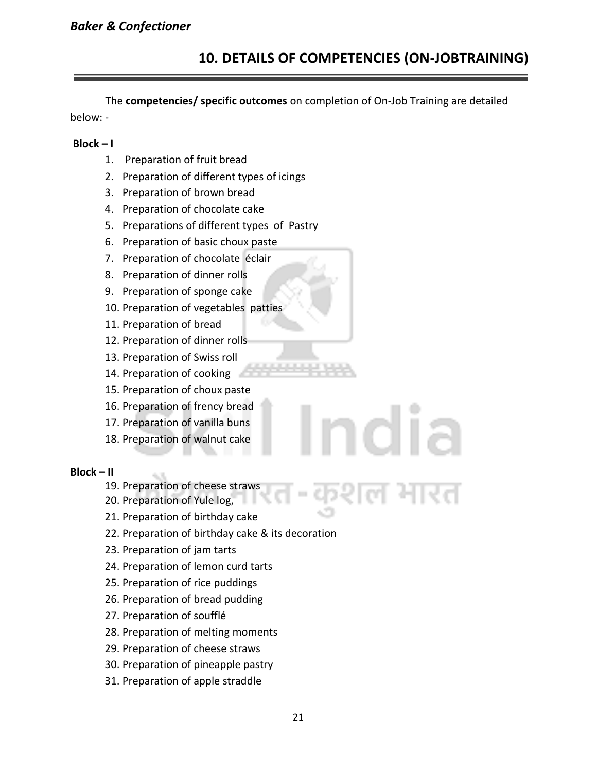# **10. DETAILS OF COMPETENCIES (ON-JOBTRAINING)**

The **competencies/ specific outcomes** on completion of On-Job Training are detailed below: -

#### **Block – I**

- 1. Preparation of fruit bread
- 2. Preparation of different types of icings
- 3. Preparation of brown bread
- 4. Preparation of chocolate cake
- 5. Preparations of different types of Pastry
- 6. Preparation of basic choux paste
- 7. Preparation of chocolate éclair
- 8. Preparation of dinner rolls
- 9. Preparation of sponge cake
- 10. Preparation of vegetables patties
- 11. Preparation of bread
- 12. Preparation of dinner rolls
- 13. Preparation of Swiss roll
- 14. Preparation of cooking
- 15. Preparation of choux paste
- 16. Preparation of frency bread
- 17. Preparation of vanilla buns
- 18. Preparation of walnut cake

#### **Block – II**

- 19. Preparation of cheese straws
- 20. Preparation of Yule log,
- 21. Preparation of birthday cake
- 22. Preparation of birthday cake & its decoration
- 23. Preparation of jam tarts
- 24. Preparation of lemon curd tarts
- 25. Preparation of rice puddings
- 26. Preparation of bread pudding
- 27. Preparation of soufflé
- 28. Preparation of melting moments
- 29. Preparation of cheese straws
- 30. Preparation of pineapple pastry
- 31. Preparation of apple straddle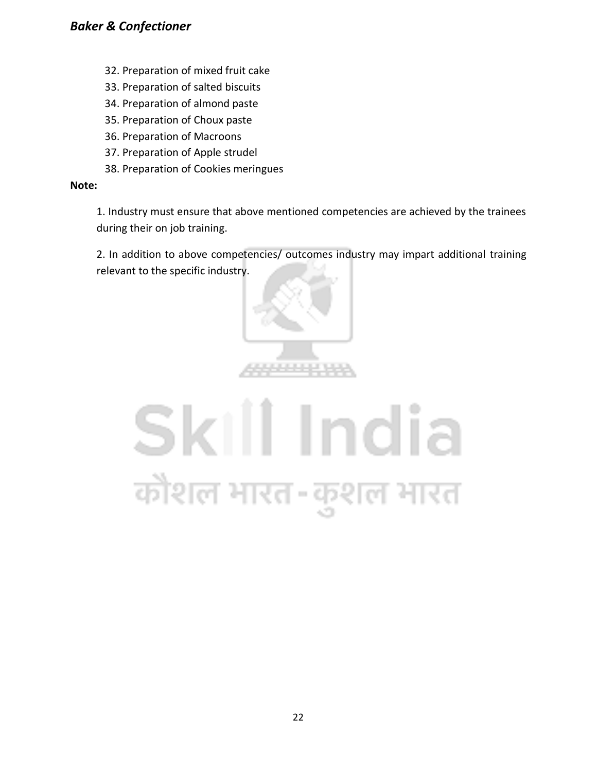#### *Baker & Confectioner*

- 32. Preparation of mixed fruit cake
- 33. Preparation of salted biscuits
- 34. Preparation of almond paste
- 35. Preparation of Choux paste
- 36. Preparation of Macroons
- 37. Preparation of Apple strudel
- 38. Preparation of Cookies meringues

#### **Note:**

1. Industry must ensure that above mentioned competencies are achieved by the trainees during their on job training.

2. In addition to above competencies/ outcomes industry may impart additional training relevant to the specific industry.



# Skill India कोशल भारत-कुशल भारत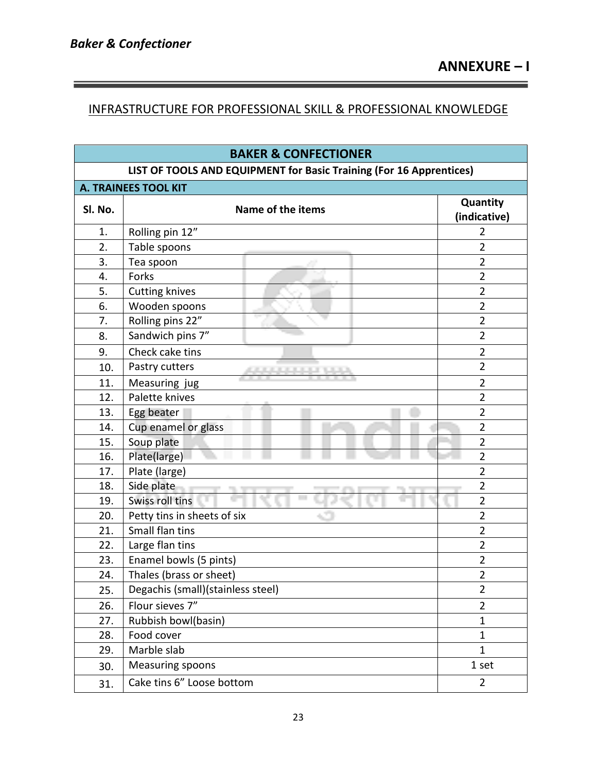#### INFRASTRUCTURE FOR PROFESSIONAL SKILL & PROFESSIONAL KNOWLEDGE

| <b>BAKER &amp; CONFECTIONER</b>                                     |                                   |                          |  |  |  |  |  |  |
|---------------------------------------------------------------------|-----------------------------------|--------------------------|--|--|--|--|--|--|
| LIST OF TOOLS AND EQUIPMENT for Basic Training (For 16 Apprentices) |                                   |                          |  |  |  |  |  |  |
| A. TRAINEES TOOL KIT                                                |                                   |                          |  |  |  |  |  |  |
| SI. No.                                                             | Name of the items                 | Quantity<br>(indicative) |  |  |  |  |  |  |
| 1.                                                                  | Rolling pin 12"                   | 2                        |  |  |  |  |  |  |
| 2.                                                                  | Table spoons                      | $\overline{2}$           |  |  |  |  |  |  |
| 3.                                                                  | Tea spoon                         | $\overline{2}$           |  |  |  |  |  |  |
| 4.                                                                  | Forks                             | $\overline{2}$           |  |  |  |  |  |  |
| 5.                                                                  | <b>Cutting knives</b>             | $\overline{2}$           |  |  |  |  |  |  |
| 6.                                                                  | Wooden spoons                     | $\overline{2}$           |  |  |  |  |  |  |
| 7.                                                                  | Rolling pins 22"                  | $\overline{2}$           |  |  |  |  |  |  |
| 8.                                                                  | Sandwich pins 7"                  | $\overline{2}$           |  |  |  |  |  |  |
| 9.                                                                  | Check cake tins                   | $\overline{2}$           |  |  |  |  |  |  |
| 10.                                                                 | Pastry cutters                    | $\overline{2}$           |  |  |  |  |  |  |
| 11.                                                                 | Measuring jug                     | $\overline{2}$           |  |  |  |  |  |  |
| 12.                                                                 | Palette knives                    | $\overline{2}$           |  |  |  |  |  |  |
| 13.                                                                 | Egg beater                        | $\overline{2}$           |  |  |  |  |  |  |
| 14.                                                                 | Cup enamel or glass               | $\overline{2}$           |  |  |  |  |  |  |
| 15.                                                                 | Soup plate                        | $\overline{2}$           |  |  |  |  |  |  |
| 16.                                                                 | Plate(large)                      | $\overline{2}$           |  |  |  |  |  |  |
| 17.                                                                 | Plate (large)                     | $\overline{2}$           |  |  |  |  |  |  |
| 18.                                                                 | Side plate                        | $\overline{2}$           |  |  |  |  |  |  |
| 19.                                                                 | Swiss roll tins                   | $\overline{2}$           |  |  |  |  |  |  |
| 20.                                                                 | Petty tins in sheets of six       | $\overline{2}$           |  |  |  |  |  |  |
| 21.                                                                 | Small flan tins                   | $\overline{2}$           |  |  |  |  |  |  |
| 22.                                                                 | Large flan tins                   | $\overline{2}$           |  |  |  |  |  |  |
| 23.                                                                 | Enamel bowls (5 pints)            | $\overline{2}$           |  |  |  |  |  |  |
| 24.                                                                 | Thales (brass or sheet)           | $\overline{2}$           |  |  |  |  |  |  |
| 25.                                                                 | Degachis (small)(stainless steel) | $\overline{2}$           |  |  |  |  |  |  |
| 26.                                                                 | Flour sieves 7"                   | $\overline{2}$           |  |  |  |  |  |  |
| 27.                                                                 | Rubbish bowl(basin)               | $\mathbf 1$              |  |  |  |  |  |  |
| 28.                                                                 | Food cover                        | $\mathbf{1}$             |  |  |  |  |  |  |
| 29.                                                                 | Marble slab                       | $\mathbf{1}$             |  |  |  |  |  |  |
| 30.                                                                 | <b>Measuring spoons</b>           | 1 set                    |  |  |  |  |  |  |
| 31.                                                                 | Cake tins 6" Loose bottom         | $\overline{2}$           |  |  |  |  |  |  |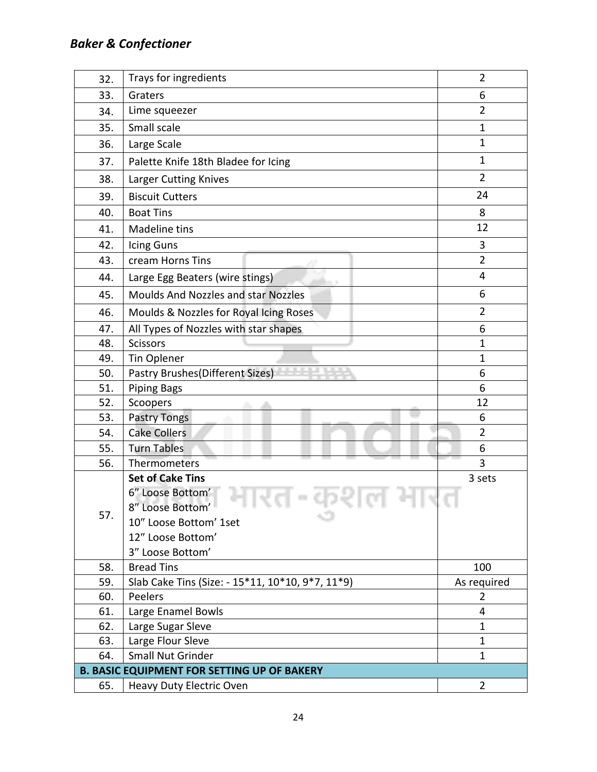# *Baker & Confectioner*

| 32. | Trays for ingredients                                          | $\overline{2}$ |  |  |
|-----|----------------------------------------------------------------|----------------|--|--|
| 33. | Graters                                                        | 6              |  |  |
| 34. | Lime squeezer                                                  | $\overline{2}$ |  |  |
| 35. | Small scale                                                    | 1              |  |  |
| 36. | Large Scale                                                    | 1              |  |  |
| 37. | Palette Knife 18th Bladee for Icing                            | 1              |  |  |
| 38. | Larger Cutting Knives                                          | $\overline{2}$ |  |  |
| 39. | <b>Biscuit Cutters</b>                                         | 24             |  |  |
| 40. | <b>Boat Tins</b>                                               | 8              |  |  |
| 41. | Madeline tins                                                  | 12             |  |  |
| 42. | Icing Guns                                                     | 3              |  |  |
| 43. | cream Horns Tins                                               | $\overline{2}$ |  |  |
| 44. | Large Egg Beaters (wire stings)                                | 4              |  |  |
| 45. | Moulds And Nozzles and star Nozzles                            | 6              |  |  |
| 46. | Moulds & Nozzles for Royal Icing Roses                         | $\overline{2}$ |  |  |
| 47. | All Types of Nozzles with star shapes                          | 6              |  |  |
| 48. | <b>Scissors</b>                                                | $\mathbf{1}$   |  |  |
| 49. | Tin Oplener                                                    | 1              |  |  |
| 50. | Pastry Brushes (Different Sizes)                               | 6              |  |  |
| 51. | <b>Piping Bags</b>                                             | 6              |  |  |
| 52. | Scoopers                                                       | 12             |  |  |
| 53. | Pastry Tongs                                                   | 6              |  |  |
| 54. | <b>Cake Collers</b>                                            | $\overline{2}$ |  |  |
| 55. | <b>Turn Tables</b>                                             | 6              |  |  |
| 56. | Thermometers                                                   | 3              |  |  |
|     | <b>Set of Cake Tins</b><br>6" Loose Bottom'<br>8" Loose Bottom | 3 sets         |  |  |
| 57. | 10" Loose Bottom' 1set                                         |                |  |  |
|     | 12" Loose Bottom'                                              |                |  |  |
|     | 3" Loose Bottom'                                               |                |  |  |
| 58. | <b>Bread Tins</b>                                              | 100            |  |  |
| 59. | Slab Cake Tins (Size: - 15*11, 10*10, 9*7, 11*9)               | As required    |  |  |
| 60. | Peelers                                                        | 2              |  |  |
| 61. | Large Enamel Bowls                                             | $\overline{4}$ |  |  |
| 62. | Large Sugar Sleve                                              | 1              |  |  |
| 63. | Large Flour Sleve                                              | 1              |  |  |
| 64. | Small Nut Grinder                                              | 1              |  |  |
|     | <b>B. BASIC EQUIPMENT FOR SETTING UP OF BAKERY</b>             |                |  |  |
| 65. | Heavy Duty Electric Oven                                       | $\overline{2}$ |  |  |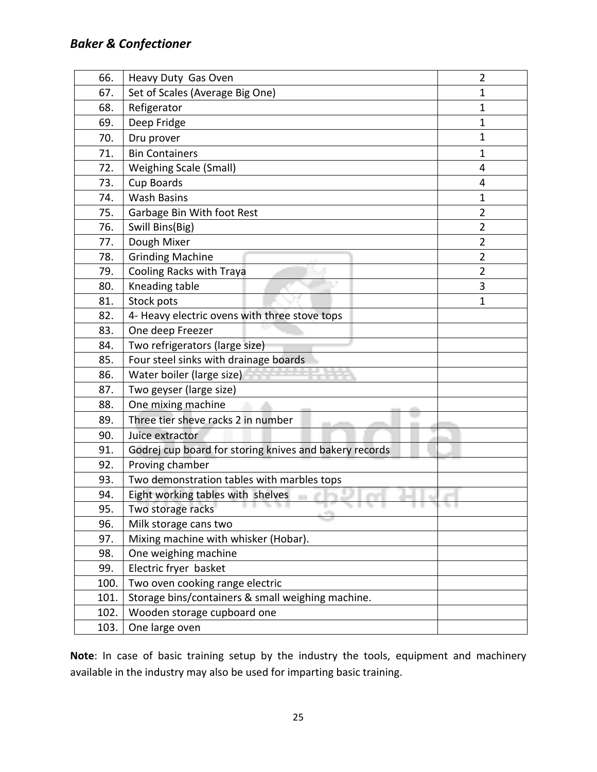| 66.  | Heavy Duty Gas Oven                                    | $\overline{2}$ |
|------|--------------------------------------------------------|----------------|
| 67.  | Set of Scales (Average Big One)                        | 1              |
| 68.  | Refigerator                                            | 1              |
| 69.  | Deep Fridge                                            | 1              |
| 70.  | Dru prover                                             | 1              |
| 71.  | <b>Bin Containers</b>                                  | 1              |
| 72.  | <b>Weighing Scale (Small)</b>                          | 4              |
| 73.  | Cup Boards                                             | 4              |
| 74.  | <b>Wash Basins</b>                                     | 1              |
| 75.  | Garbage Bin With foot Rest                             | $\overline{2}$ |
| 76.  | Swill Bins(Big)                                        | $\overline{2}$ |
| 77.  | Dough Mixer                                            | $\overline{2}$ |
| 78.  | <b>Grinding Machine</b>                                | $\overline{2}$ |
| 79.  | Cooling Racks with Traya                               | $\overline{2}$ |
| 80.  | Kneading table                                         | 3              |
| 81.  | Stock pots                                             | 1              |
| 82.  | 4- Heavy electric ovens with three stove tops          |                |
| 83.  | One deep Freezer                                       |                |
| 84.  | Two refrigerators (large size)                         |                |
| 85.  | Four steel sinks with drainage boards                  |                |
| 86.  | Water boiler (large size)                              |                |
| 87.  | Two geyser (large size)                                |                |
| 88.  | One mixing machine                                     |                |
| 89.  | Three tier sheve racks 2 in number                     |                |
| 90.  | Juice extractor                                        |                |
| 91.  | Godrej cup board for storing knives and bakery records |                |
| 92.  | Proving chamber                                        |                |
| 93.  | Two demonstration tables with marbles tops             |                |
| 94.  | Eight working tables with shelves                      |                |
| 95.  | Two storage racks                                      |                |
| 96.  | Milk storage cans two                                  |                |
| 97.  | Mixing machine with whisker (Hobar).                   |                |
| 98.  | One weighing machine                                   |                |
| 99.  | Electric fryer basket                                  |                |
| 100. | Two oven cooking range electric                        |                |
| 101. | Storage bins/containers & small weighing machine.      |                |
| 102. | Wooden storage cupboard one                            |                |
| 103. | One large oven                                         |                |

**Note**: In case of basic training setup by the industry the tools, equipment and machinery available in the industry may also be used for imparting basic training.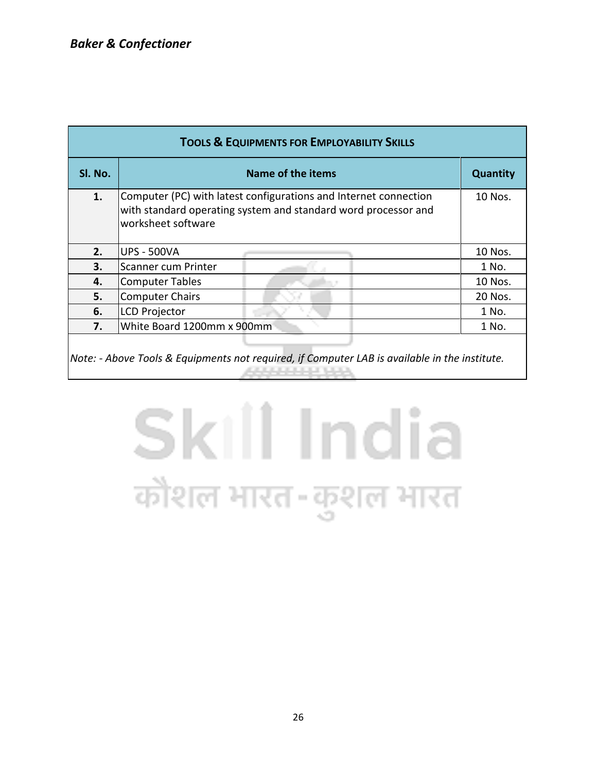| <b>TOOLS &amp; EQUIPMENTS FOR EMPLOYABILITY SKILLS</b>                                        |                                                                                                                                                          |                 |  |  |  |  |  |  |
|-----------------------------------------------------------------------------------------------|----------------------------------------------------------------------------------------------------------------------------------------------------------|-----------------|--|--|--|--|--|--|
| Sl. No.                                                                                       | Name of the items                                                                                                                                        | <b>Quantity</b> |  |  |  |  |  |  |
| 1.                                                                                            | Computer (PC) with latest configurations and Internet connection<br>with standard operating system and standard word processor and<br>worksheet software | 10 Nos.         |  |  |  |  |  |  |
| 2.                                                                                            | <b>UPS - 500VA</b>                                                                                                                                       | 10 Nos.         |  |  |  |  |  |  |
| 3.                                                                                            | Scanner cum Printer                                                                                                                                      | 1 No.           |  |  |  |  |  |  |
| 4.                                                                                            | <b>Computer Tables</b>                                                                                                                                   | 10 Nos.         |  |  |  |  |  |  |
| 5.                                                                                            | <b>Computer Chairs</b>                                                                                                                                   | 20 Nos.         |  |  |  |  |  |  |
| 6.                                                                                            | <b>LCD Projector</b>                                                                                                                                     | 1 No.           |  |  |  |  |  |  |
| 7.                                                                                            | White Board 1200mm x 900mm                                                                                                                               | 1 No.           |  |  |  |  |  |  |
| Note: - Above Tools & Equipments not required, if Computer LAB is available in the institute. |                                                                                                                                                          |                 |  |  |  |  |  |  |

# Skill India कौशल भारत-कुशल भारत